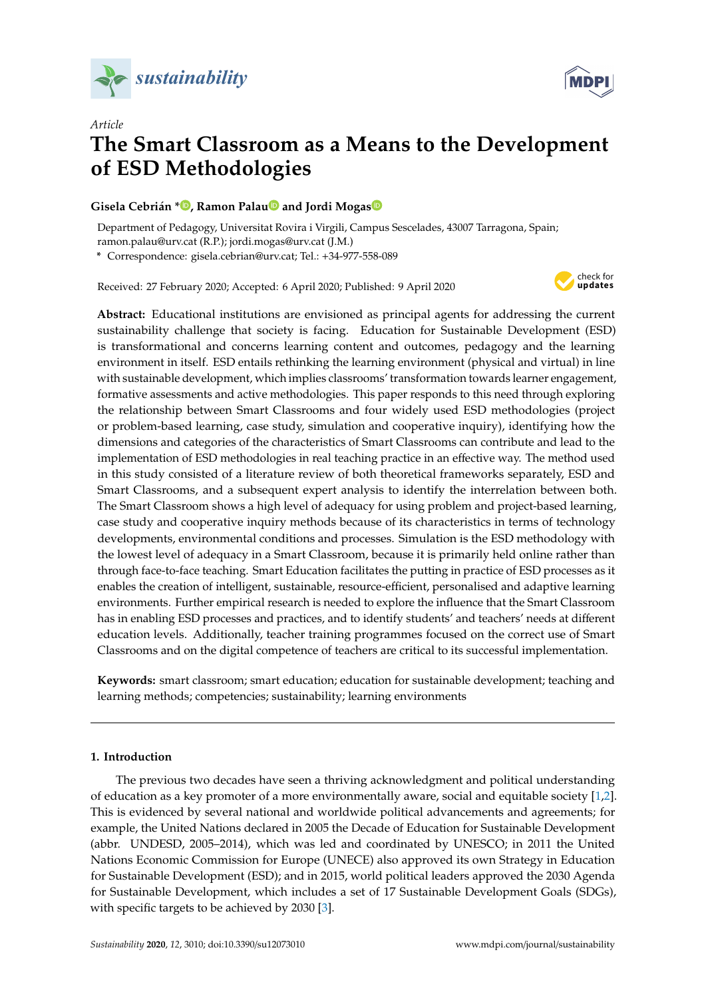



# *Article* **The Smart Classroom as a Means to the Development of ESD Methodologies**

# **Gisela Cebrián \* [,](https://orcid.org/0000-0002-8434-9888) Ramon Pala[u](https://orcid.org/0000-0002-9843-3116) and Jordi Moga[s](https://orcid.org/0000-0003-3385-5534)**

Department of Pedagogy, Universitat Rovira i Virgili, Campus Sescelades, 43007 Tarragona, Spain; ramon.palau@urv.cat (R.P.); jordi.mogas@urv.cat (J.M.)

**\*** Correspondence: gisela.cebrian@urv.cat; Tel.: +34-977-558-089

Received: 27 February 2020; Accepted: 6 April 2020; Published: 9 April 2020



**Abstract:** Educational institutions are envisioned as principal agents for addressing the current sustainability challenge that society is facing. Education for Sustainable Development (ESD) is transformational and concerns learning content and outcomes, pedagogy and the learning environment in itself. ESD entails rethinking the learning environment (physical and virtual) in line with sustainable development, which implies classrooms' transformation towards learner engagement, formative assessments and active methodologies. This paper responds to this need through exploring the relationship between Smart Classrooms and four widely used ESD methodologies (project or problem-based learning, case study, simulation and cooperative inquiry), identifying how the dimensions and categories of the characteristics of Smart Classrooms can contribute and lead to the implementation of ESD methodologies in real teaching practice in an effective way. The method used in this study consisted of a literature review of both theoretical frameworks separately, ESD and Smart Classrooms, and a subsequent expert analysis to identify the interrelation between both. The Smart Classroom shows a high level of adequacy for using problem and project-based learning, case study and cooperative inquiry methods because of its characteristics in terms of technology developments, environmental conditions and processes. Simulation is the ESD methodology with the lowest level of adequacy in a Smart Classroom, because it is primarily held online rather than through face-to-face teaching. Smart Education facilitates the putting in practice of ESD processes as it enables the creation of intelligent, sustainable, resource-efficient, personalised and adaptive learning environments. Further empirical research is needed to explore the influence that the Smart Classroom has in enabling ESD processes and practices, and to identify students' and teachers' needs at different education levels. Additionally, teacher training programmes focused on the correct use of Smart Classrooms and on the digital competence of teachers are critical to its successful implementation.

**Keywords:** smart classroom; smart education; education for sustainable development; teaching and learning methods; competencies; sustainability; learning environments

# **1. Introduction**

The previous two decades have seen a thriving acknowledgment and political understanding of education as a key promoter of a more environmentally aware, social and equitable society [\[1,](#page-13-0)[2\]](#page-13-1). This is evidenced by several national and worldwide political advancements and agreements; for example, the United Nations declared in 2005 the Decade of Education for Sustainable Development (abbr. UNDESD, 2005–2014), which was led and coordinated by UNESCO; in 2011 the United Nations Economic Commission for Europe (UNECE) also approved its own Strategy in Education for Sustainable Development (ESD); and in 2015, world political leaders approved the 2030 Agenda for Sustainable Development, which includes a set of 17 Sustainable Development Goals (SDGs), with specific targets to be achieved by 2030 [\[3\]](#page-13-2).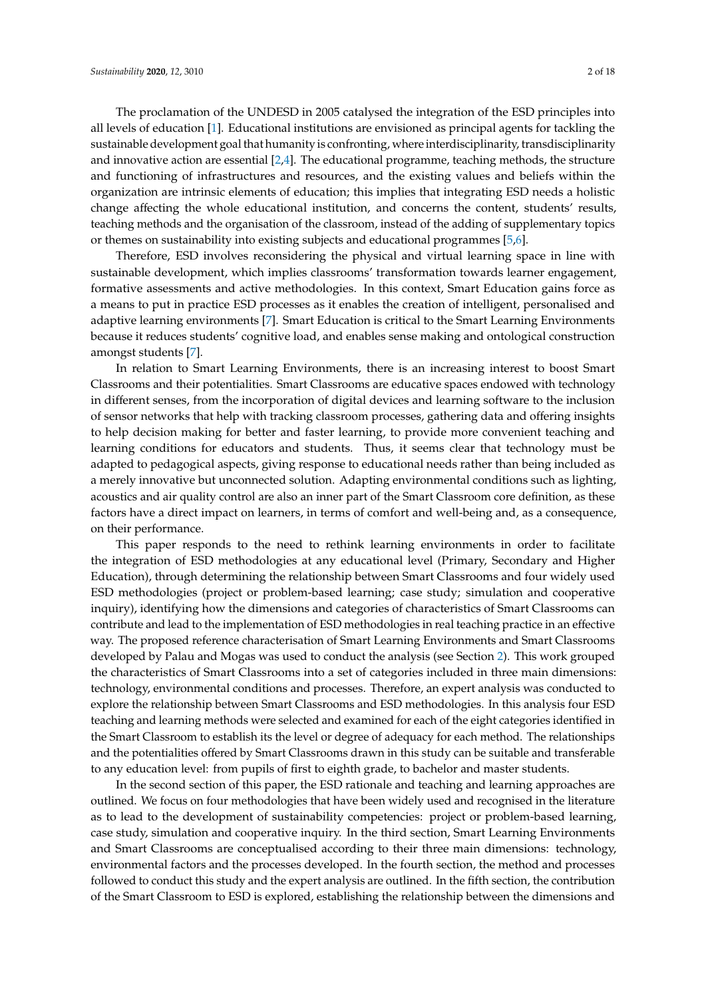The proclamation of the UNDESD in 2005 catalysed the integration of the ESD principles into all levels of education [\[1\]](#page-13-0). Educational institutions are envisioned as principal agents for tackling the sustainable development goal that humanity is confronting, where interdisciplinarity, transdisciplinarity and innovative action are essential [\[2](#page-13-1)[,4\]](#page-13-3). The educational programme, teaching methods, the structure and functioning of infrastructures and resources, and the existing values and beliefs within the organization are intrinsic elements of education; this implies that integrating ESD needs a holistic change affecting the whole educational institution, and concerns the content, students' results, teaching methods and the organisation of the classroom, instead of the adding of supplementary topics or themes on sustainability into existing subjects and educational programmes [\[5,](#page-13-4)[6\]](#page-13-5).

Therefore, ESD involves reconsidering the physical and virtual learning space in line with sustainable development, which implies classrooms' transformation towards learner engagement, formative assessments and active methodologies. In this context, Smart Education gains force as a means to put in practice ESD processes as it enables the creation of intelligent, personalised and adaptive learning environments [\[7\]](#page-13-6). Smart Education is critical to the Smart Learning Environments because it reduces students' cognitive load, and enables sense making and ontological construction amongst students [\[7\]](#page-13-6).

In relation to Smart Learning Environments, there is an increasing interest to boost Smart Classrooms and their potentialities. Smart Classrooms are educative spaces endowed with technology in different senses, from the incorporation of digital devices and learning software to the inclusion of sensor networks that help with tracking classroom processes, gathering data and offering insights to help decision making for better and faster learning, to provide more convenient teaching and learning conditions for educators and students. Thus, it seems clear that technology must be adapted to pedagogical aspects, giving response to educational needs rather than being included as a merely innovative but unconnected solution. Adapting environmental conditions such as lighting, acoustics and air quality control are also an inner part of the Smart Classroom core definition, as these factors have a direct impact on learners, in terms of comfort and well-being and, as a consequence, on their performance.

This paper responds to the need to rethink learning environments in order to facilitate the integration of ESD methodologies at any educational level (Primary, Secondary and Higher Education), through determining the relationship between Smart Classrooms and four widely used ESD methodologies (project or problem-based learning; case study; simulation and cooperative inquiry), identifying how the dimensions and categories of characteristics of Smart Classrooms can contribute and lead to the implementation of ESD methodologies in real teaching practice in an effective way. The proposed reference characterisation of Smart Learning Environments and Smart Classrooms developed by Palau and Mogas was used to conduct the analysis (see Section [2\)](#page-4-0). This work grouped the characteristics of Smart Classrooms into a set of categories included in three main dimensions: technology, environmental conditions and processes. Therefore, an expert analysis was conducted to explore the relationship between Smart Classrooms and ESD methodologies. In this analysis four ESD teaching and learning methods were selected and examined for each of the eight categories identified in the Smart Classroom to establish its the level or degree of adequacy for each method. The relationships and the potentialities offered by Smart Classrooms drawn in this study can be suitable and transferable to any education level: from pupils of first to eighth grade, to bachelor and master students.

In the second section of this paper, the ESD rationale and teaching and learning approaches are outlined. We focus on four methodologies that have been widely used and recognised in the literature as to lead to the development of sustainability competencies: project or problem-based learning, case study, simulation and cooperative inquiry. In the third section, Smart Learning Environments and Smart Classrooms are conceptualised according to their three main dimensions: technology, environmental factors and the processes developed. In the fourth section, the method and processes followed to conduct this study and the expert analysis are outlined. In the fifth section, the contribution of the Smart Classroom to ESD is explored, establishing the relationship between the dimensions and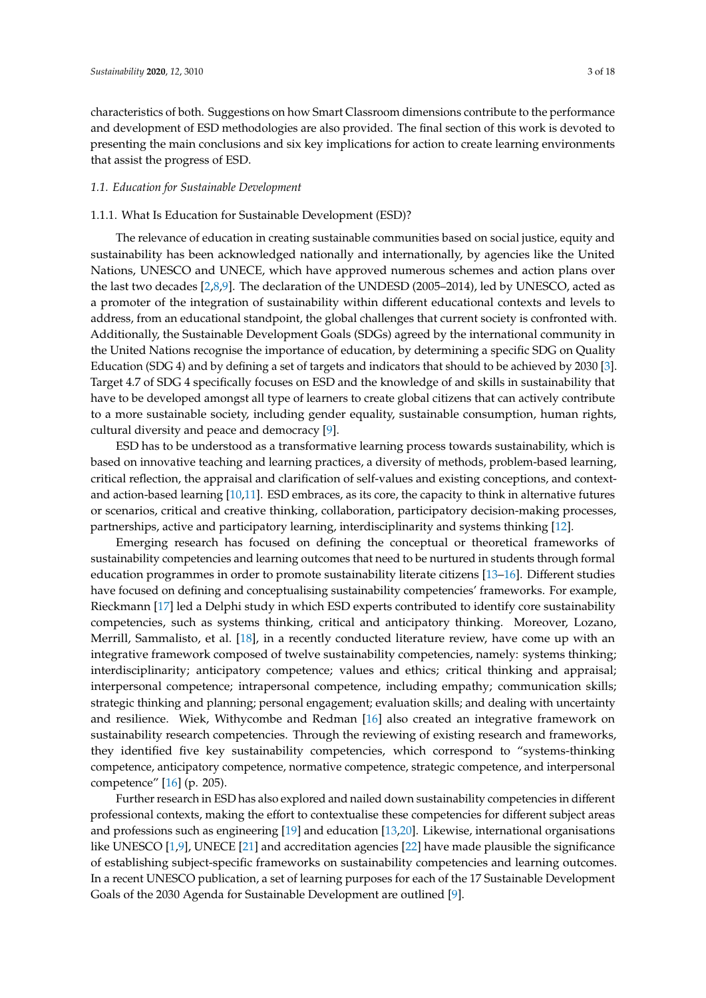characteristics of both. Suggestions on how Smart Classroom dimensions contribute to the performance and development of ESD methodologies are also provided. The final section of this work is devoted to presenting the main conclusions and six key implications for action to create learning environments that assist the progress of ESD.

## *1.1. Education for Sustainable Development*

# 1.1.1. What Is Education for Sustainable Development (ESD)?

The relevance of education in creating sustainable communities based on social justice, equity and sustainability has been acknowledged nationally and internationally, by agencies like the United Nations, UNESCO and UNECE, which have approved numerous schemes and action plans over the last two decades [\[2,](#page-13-1)[8,](#page-13-7)[9\]](#page-13-8). The declaration of the UNDESD (2005–2014), led by UNESCO, acted as a promoter of the integration of sustainability within different educational contexts and levels to address, from an educational standpoint, the global challenges that current society is confronted with. Additionally, the Sustainable Development Goals (SDGs) agreed by the international community in the United Nations recognise the importance of education, by determining a specific SDG on Quality Education (SDG 4) and by defining a set of targets and indicators that should to be achieved by 2030 [\[3\]](#page-13-2). Target 4.7 of SDG 4 specifically focuses on ESD and the knowledge of and skills in sustainability that have to be developed amongst all type of learners to create global citizens that can actively contribute to a more sustainable society, including gender equality, sustainable consumption, human rights, cultural diversity and peace and democracy [\[9\]](#page-13-8).

ESD has to be understood as a transformative learning process towards sustainability, which is based on innovative teaching and learning practices, a diversity of methods, problem-based learning, critical reflection, the appraisal and clarification of self-values and existing conceptions, and contextand action-based learning [\[10](#page-13-9)[,11\]](#page-13-10). ESD embraces, as its core, the capacity to think in alternative futures or scenarios, critical and creative thinking, collaboration, participatory decision-making processes, partnerships, active and participatory learning, interdisciplinarity and systems thinking [\[12\]](#page-13-11).

Emerging research has focused on defining the conceptual or theoretical frameworks of sustainability competencies and learning outcomes that need to be nurtured in students through formal education programmes in order to promote sustainability literate citizens [\[13](#page-13-12)[–16\]](#page-14-0). Different studies have focused on defining and conceptualising sustainability competencies' frameworks. For example, Rieckmann [\[17\]](#page-14-1) led a Delphi study in which ESD experts contributed to identify core sustainability competencies, such as systems thinking, critical and anticipatory thinking. Moreover, Lozano, Merrill, Sammalisto, et al. [\[18\]](#page-14-2), in a recently conducted literature review, have come up with an integrative framework composed of twelve sustainability competencies, namely: systems thinking; interdisciplinarity; anticipatory competence; values and ethics; critical thinking and appraisal; interpersonal competence; intrapersonal competence, including empathy; communication skills; strategic thinking and planning; personal engagement; evaluation skills; and dealing with uncertainty and resilience. Wiek, Withycombe and Redman [\[16\]](#page-14-0) also created an integrative framework on sustainability research competencies. Through the reviewing of existing research and frameworks, they identified five key sustainability competencies, which correspond to "systems-thinking competence, anticipatory competence, normative competence, strategic competence, and interpersonal competence" [\[16\]](#page-14-0) (p. 205).

Further research in ESD has also explored and nailed down sustainability competencies in different professional contexts, making the effort to contextualise these competencies for different subject areas and professions such as engineering [\[19\]](#page-14-3) and education [\[13](#page-13-12)[,20\]](#page-14-4). Likewise, international organisations like UNESCO [\[1](#page-13-0)[,9\]](#page-13-8), UNECE [\[21\]](#page-14-5) and accreditation agencies [\[22\]](#page-14-6) have made plausible the significance of establishing subject-specific frameworks on sustainability competencies and learning outcomes. In a recent UNESCO publication, a set of learning purposes for each of the 17 Sustainable Development Goals of the 2030 Agenda for Sustainable Development are outlined [\[9\]](#page-13-8).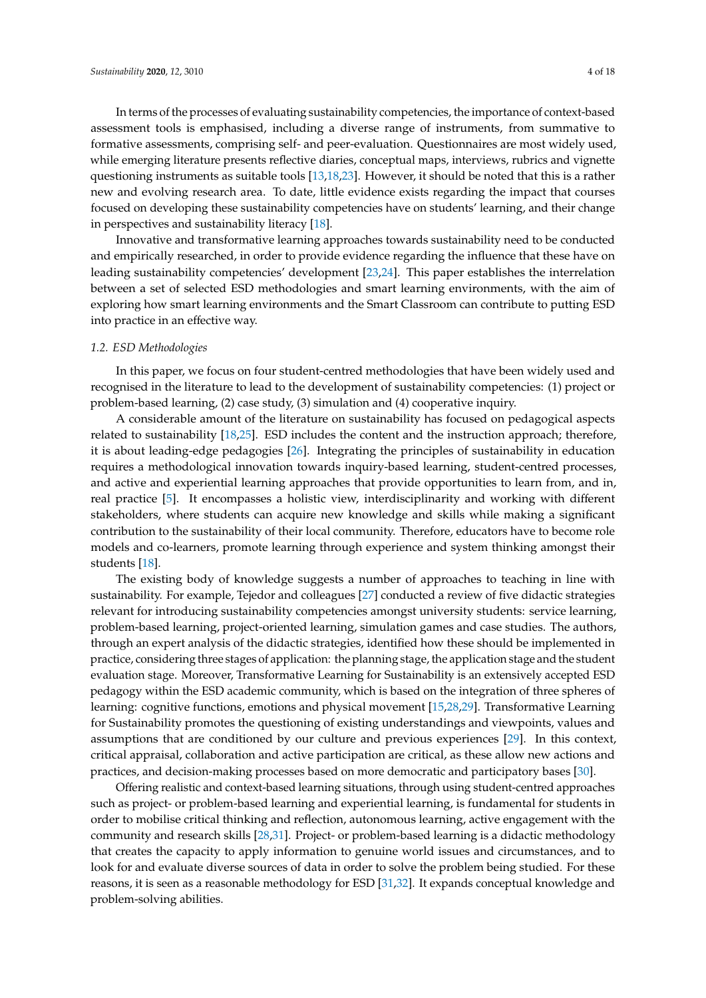In terms of the processes of evaluating sustainability competencies, the importance of context-based assessment tools is emphasised, including a diverse range of instruments, from summative to formative assessments, comprising self- and peer-evaluation. Questionnaires are most widely used, while emerging literature presents reflective diaries, conceptual maps, interviews, rubrics and vignette questioning instruments as suitable tools [\[13](#page-13-12)[,18](#page-14-2)[,23\]](#page-14-7). However, it should be noted that this is a rather new and evolving research area. To date, little evidence exists regarding the impact that courses focused on developing these sustainability competencies have on students' learning, and their change in perspectives and sustainability literacy [\[18\]](#page-14-2).

Innovative and transformative learning approaches towards sustainability need to be conducted and empirically researched, in order to provide evidence regarding the influence that these have on leading sustainability competencies' development [\[23,](#page-14-7)[24\]](#page-14-8). This paper establishes the interrelation between a set of selected ESD methodologies and smart learning environments, with the aim of exploring how smart learning environments and the Smart Classroom can contribute to putting ESD into practice in an effective way.

## *1.2. ESD Methodologies*

In this paper, we focus on four student-centred methodologies that have been widely used and recognised in the literature to lead to the development of sustainability competencies: (1) project or problem-based learning, (2) case study, (3) simulation and (4) cooperative inquiry.

A considerable amount of the literature on sustainability has focused on pedagogical aspects related to sustainability [\[18](#page-14-2)[,25\]](#page-14-9). ESD includes the content and the instruction approach; therefore, it is about leading-edge pedagogies [\[26\]](#page-14-10). Integrating the principles of sustainability in education requires a methodological innovation towards inquiry-based learning, student-centred processes, and active and experiential learning approaches that provide opportunities to learn from, and in, real practice [\[5\]](#page-13-4). It encompasses a holistic view, interdisciplinarity and working with different stakeholders, where students can acquire new knowledge and skills while making a significant contribution to the sustainability of their local community. Therefore, educators have to become role models and co-learners, promote learning through experience and system thinking amongst their students [\[18\]](#page-14-2).

The existing body of knowledge suggests a number of approaches to teaching in line with sustainability. For example, Tejedor and colleagues [\[27\]](#page-14-11) conducted a review of five didactic strategies relevant for introducing sustainability competencies amongst university students: service learning, problem-based learning, project-oriented learning, simulation games and case studies. The authors, through an expert analysis of the didactic strategies, identified how these should be implemented in practice, considering three stages of application: the planning stage, the application stage and the student evaluation stage. Moreover, Transformative Learning for Sustainability is an extensively accepted ESD pedagogy within the ESD academic community, which is based on the integration of three spheres of learning: cognitive functions, emotions and physical movement [\[15](#page-14-12)[,28](#page-14-13)[,29\]](#page-14-14). Transformative Learning for Sustainability promotes the questioning of existing understandings and viewpoints, values and assumptions that are conditioned by our culture and previous experiences [\[29\]](#page-14-14). In this context, critical appraisal, collaboration and active participation are critical, as these allow new actions and practices, and decision-making processes based on more democratic and participatory bases [\[30\]](#page-14-15).

Offering realistic and context-based learning situations, through using student-centred approaches such as project- or problem-based learning and experiential learning, is fundamental for students in order to mobilise critical thinking and reflection, autonomous learning, active engagement with the community and research skills [\[28](#page-14-13)[,31\]](#page-14-16). Project- or problem-based learning is a didactic methodology that creates the capacity to apply information to genuine world issues and circumstances, and to look for and evaluate diverse sources of data in order to solve the problem being studied. For these reasons, it is seen as a reasonable methodology for ESD [\[31](#page-14-16)[,32\]](#page-14-17). It expands conceptual knowledge and problem-solving abilities.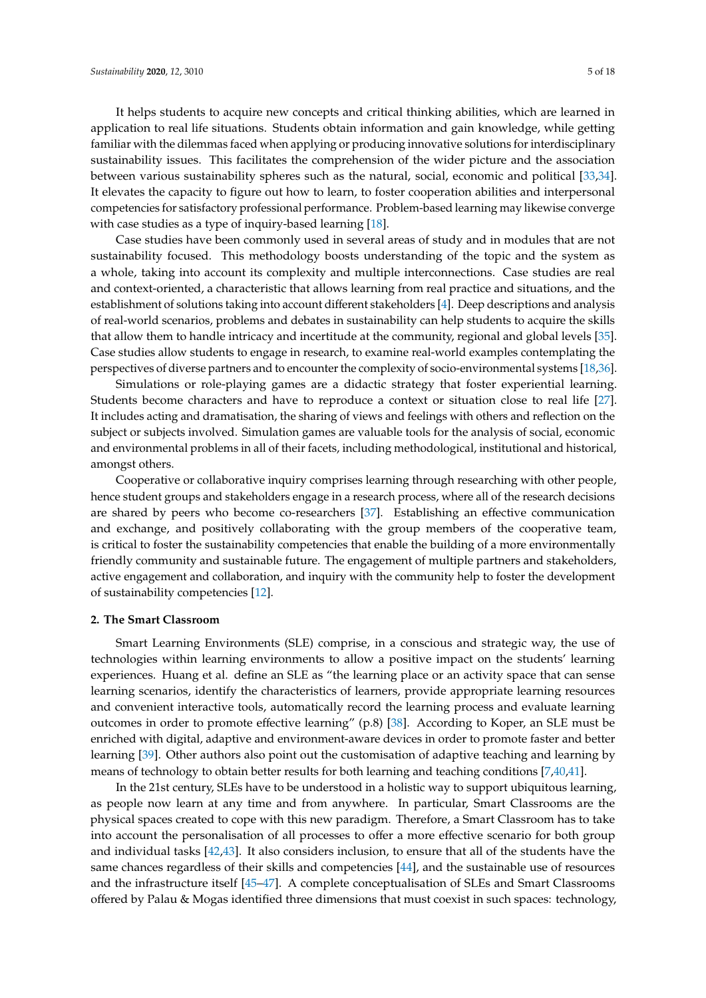It helps students to acquire new concepts and critical thinking abilities, which are learned in application to real life situations. Students obtain information and gain knowledge, while getting familiar with the dilemmas faced when applying or producing innovative solutions for interdisciplinary sustainability issues. This facilitates the comprehension of the wider picture and the association between various sustainability spheres such as the natural, social, economic and political [\[33,](#page-14-18)[34\]](#page-14-19). It elevates the capacity to figure out how to learn, to foster cooperation abilities and interpersonal competencies for satisfactory professional performance. Problem-based learning may likewise converge with case studies as a type of inquiry-based learning [\[18\]](#page-14-2).

Case studies have been commonly used in several areas of study and in modules that are not sustainability focused. This methodology boosts understanding of the topic and the system as a whole, taking into account its complexity and multiple interconnections. Case studies are real and context-oriented, a characteristic that allows learning from real practice and situations, and the establishment of solutions taking into account different stakeholders [\[4\]](#page-13-3). Deep descriptions and analysis of real-world scenarios, problems and debates in sustainability can help students to acquire the skills that allow them to handle intricacy and incertitude at the community, regional and global levels [\[35\]](#page-14-20). Case studies allow students to engage in research, to examine real-world examples contemplating the perspectives of diverse partners and to encounter the complexity of socio-environmental systems [\[18](#page-14-2)[,36\]](#page-15-0).

Simulations or role-playing games are a didactic strategy that foster experiential learning. Students become characters and have to reproduce a context or situation close to real life [\[27\]](#page-14-11). It includes acting and dramatisation, the sharing of views and feelings with others and reflection on the subject or subjects involved. Simulation games are valuable tools for the analysis of social, economic and environmental problems in all of their facets, including methodological, institutional and historical, amongst others.

Cooperative or collaborative inquiry comprises learning through researching with other people, hence student groups and stakeholders engage in a research process, where all of the research decisions are shared by peers who become co-researchers [\[37\]](#page-15-1). Establishing an effective communication and exchange, and positively collaborating with the group members of the cooperative team, is critical to foster the sustainability competencies that enable the building of a more environmentally friendly community and sustainable future. The engagement of multiple partners and stakeholders, active engagement and collaboration, and inquiry with the community help to foster the development of sustainability competencies [\[12\]](#page-13-11).

#### <span id="page-4-0"></span>**2. The Smart Classroom**

Smart Learning Environments (SLE) comprise, in a conscious and strategic way, the use of technologies within learning environments to allow a positive impact on the students' learning experiences. Huang et al. define an SLE as "the learning place or an activity space that can sense learning scenarios, identify the characteristics of learners, provide appropriate learning resources and convenient interactive tools, automatically record the learning process and evaluate learning outcomes in order to promote effective learning" (p.8) [\[38\]](#page-15-2). According to Koper, an SLE must be enriched with digital, adaptive and environment-aware devices in order to promote faster and better learning [\[39\]](#page-15-3). Other authors also point out the customisation of adaptive teaching and learning by means of technology to obtain better results for both learning and teaching conditions [\[7,](#page-13-6)[40](#page-15-4)[,41\]](#page-15-5).

In the 21st century, SLEs have to be understood in a holistic way to support ubiquitous learning, as people now learn at any time and from anywhere. In particular, Smart Classrooms are the physical spaces created to cope with this new paradigm. Therefore, a Smart Classroom has to take into account the personalisation of all processes to offer a more effective scenario for both group and individual tasks [\[42](#page-15-6)[,43\]](#page-15-7). It also considers inclusion, to ensure that all of the students have the same chances regardless of their skills and competencies [\[44\]](#page-15-8), and the sustainable use of resources and the infrastructure itself [\[45–](#page-15-9)[47\]](#page-15-10). A complete conceptualisation of SLEs and Smart Classrooms offered by Palau & Mogas identified three dimensions that must coexist in such spaces: technology,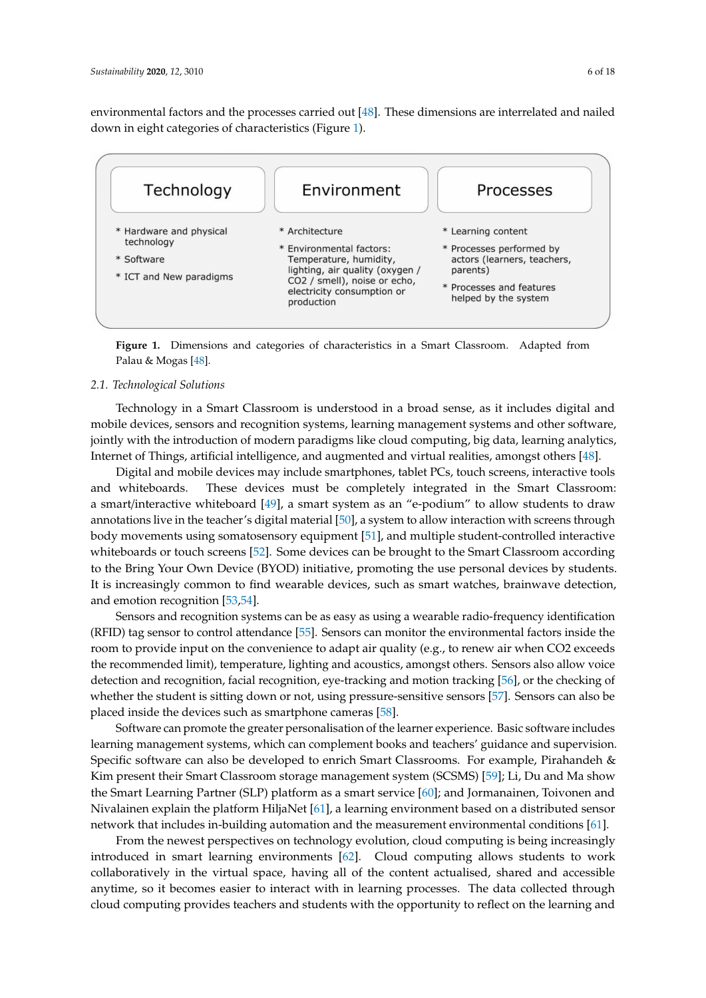environmental factors and the processes carried out [\[48\]](#page-15-11). These dimensions are interrelated and nailed down in eight categories of characteristics (Figure [1\)](#page-5-0).

<span id="page-5-0"></span>

**Figure 1.** Dimensions and categories of characteristics in a Smart Classroom. Adapted from Palau & Mogas [\[48\]](#page-15-11).

## *2.1. Technological Solutions*

Technology in a Smart Classroom is understood in a broad sense, as it includes digital and mobile devices, sensors and recognition systems, learning management systems and other software, jointly with the introduction of modern paradigms like cloud computing, big data, learning analytics, Internet of Things, artificial intelligence, and augmented and virtual realities, amongst others [\[48\]](#page-15-11).

Digital and mobile devices may include smartphones, tablet PCs, touch screens, interactive tools and whiteboards. These devices must be completely integrated in the Smart Classroom: a smart/interactive whiteboard [\[49\]](#page-15-12), a smart system as an "e-podium" to allow students to draw annotations live in the teacher's digital material [\[50\]](#page-15-13), a system to allow interaction with screens through body movements using somatosensory equipment [\[51\]](#page-15-14), and multiple student-controlled interactive whiteboards or touch screens [\[52\]](#page-15-15). Some devices can be brought to the Smart Classroom according to the Bring Your Own Device (BYOD) initiative, promoting the use personal devices by students. It is increasingly common to find wearable devices, such as smart watches, brainwave detection, and emotion recognition [\[53,](#page-15-16)[54\]](#page-15-17).

Sensors and recognition systems can be as easy as using a wearable radio-frequency identification (RFID) tag sensor to control attendance [\[55\]](#page-15-18). Sensors can monitor the environmental factors inside the room to provide input on the convenience to adapt air quality (e.g., to renew air when CO2 exceeds the recommended limit), temperature, lighting and acoustics, amongst others. Sensors also allow voice detection and recognition, facial recognition, eye-tracking and motion tracking [\[56\]](#page-15-19), or the checking of whether the student is sitting down or not, using pressure-sensitive sensors [\[57\]](#page-15-20). Sensors can also be placed inside the devices such as smartphone cameras [\[58\]](#page-15-21).

Software can promote the greater personalisation of the learner experience. Basic software includes learning management systems, which can complement books and teachers' guidance and supervision. Specific software can also be developed to enrich Smart Classrooms. For example, Pirahandeh & Kim present their Smart Classroom storage management system (SCSMS) [\[59\]](#page-16-0); Li, Du and Ma show the Smart Learning Partner (SLP) platform as a smart service [\[60\]](#page-16-1); and Jormanainen, Toivonen and Nivalainen explain the platform HiljaNet [\[61\]](#page-16-2), a learning environment based on a distributed sensor network that includes in-building automation and the measurement environmental conditions [\[61\]](#page-16-2).

From the newest perspectives on technology evolution, cloud computing is being increasingly introduced in smart learning environments [\[62\]](#page-16-3). Cloud computing allows students to work collaboratively in the virtual space, having all of the content actualised, shared and accessible anytime, so it becomes easier to interact with in learning processes. The data collected through cloud computing provides teachers and students with the opportunity to reflect on the learning and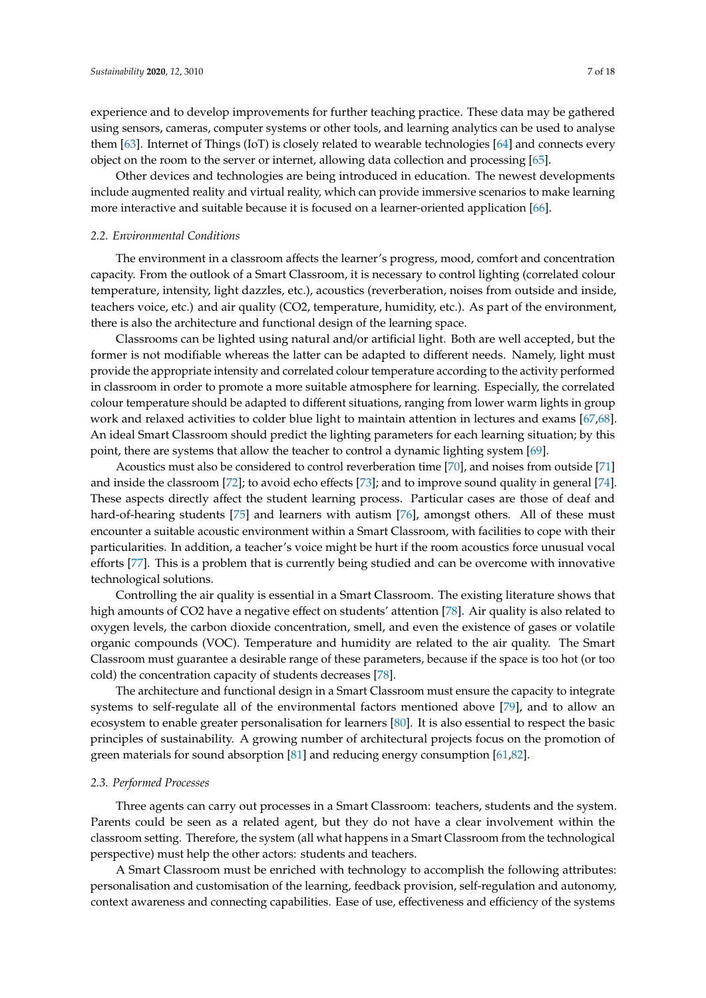experience and to develop improvements for further teaching practice. These data may be gathered using sensors, cameras, computer systems or other tools, and learning analytics can be used to analyse them [\[63\]](#page-16-4). Internet of Things (IoT) is closely related to wearable technologies [\[64\]](#page-16-5) and connects every object on the room to the server or internet, allowing data collection and processing [\[65\]](#page-16-6).

Other devices and technologies are being introduced in education. The newest developments include augmented reality and virtual reality, which can provide immersive scenarios to make learning more interactive and suitable because it is focused on a learner-oriented application [\[66\]](#page-16-7).

#### *2.2. Environmental Conditions*

The environment in a classroom affects the learner's progress, mood, comfort and concentration capacity. From the outlook of a Smart Classroom, it is necessary to control lighting (correlated colour temperature, intensity, light dazzles, etc.), acoustics (reverberation, noises from outside and inside, teachers voice, etc.) and air quality (CO2, temperature, humidity, etc.). As part of the environment, there is also the architecture and functional design of the learning space.

Classrooms can be lighted using natural and/or artificial light. Both are well accepted, but the former is not modifiable whereas the latter can be adapted to different needs. Namely, light must provide the appropriate intensity and correlated colour temperature according to the activity performed in classroom in order to promote a more suitable atmosphere for learning. Especially, the correlated colour temperature should be adapted to different situations, ranging from lower warm lights in group work and relaxed activities to colder blue light to maintain attention in lectures and exams [\[67,](#page-16-8)[68\]](#page-16-9). An ideal Smart Classroom should predict the lighting parameters for each learning situation; by this point, there are systems that allow the teacher to control a dynamic lighting system [\[69\]](#page-16-10).

Acoustics must also be considered to control reverberation time [\[70\]](#page-16-11), and noises from outside [\[71\]](#page-16-12) and inside the classroom [\[72\]](#page-16-13); to avoid echo effects [\[73\]](#page-16-14); and to improve sound quality in general [\[74\]](#page-16-15). These aspects directly affect the student learning process. Particular cases are those of deaf and hard-of-hearing students [\[75\]](#page-16-16) and learners with autism [\[76\]](#page-16-17), amongst others. All of these must encounter a suitable acoustic environment within a Smart Classroom, with facilities to cope with their particularities. In addition, a teacher's voice might be hurt if the room acoustics force unusual vocal efforts [\[77\]](#page-16-18). This is a problem that is currently being studied and can be overcome with innovative technological solutions.

Controlling the air quality is essential in a Smart Classroom. The existing literature shows that high amounts of CO2 have a negative effect on students' attention [\[78\]](#page-16-19). Air quality is also related to oxygen levels, the carbon dioxide concentration, smell, and even the existence of gases or volatile organic compounds (VOC). Temperature and humidity are related to the air quality. The Smart Classroom must guarantee a desirable range of these parameters, because if the space is too hot (or too cold) the concentration capacity of students decreases [\[78\]](#page-16-19).

The architecture and functional design in a Smart Classroom must ensure the capacity to integrate systems to self-regulate all of the environmental factors mentioned above [\[79\]](#page-16-20), and to allow an ecosystem to enable greater personalisation for learners [\[80\]](#page-16-21). It is also essential to respect the basic principles of sustainability. A growing number of architectural projects focus on the promotion of green materials for sound absorption [\[81\]](#page-16-22) and reducing energy consumption [\[61](#page-16-2)[,82\]](#page-17-0).

## *2.3. Performed Processes*

Three agents can carry out processes in a Smart Classroom: teachers, students and the system. Parents could be seen as a related agent, but they do not have a clear involvement within the classroom setting. Therefore, the system (all what happens in a Smart Classroom from the technological perspective) must help the other actors: students and teachers.

A Smart Classroom must be enriched with technology to accomplish the following attributes: personalisation and customisation of the learning, feedback provision, self-regulation and autonomy, context awareness and connecting capabilities. Ease of use, effectiveness and efficiency of the systems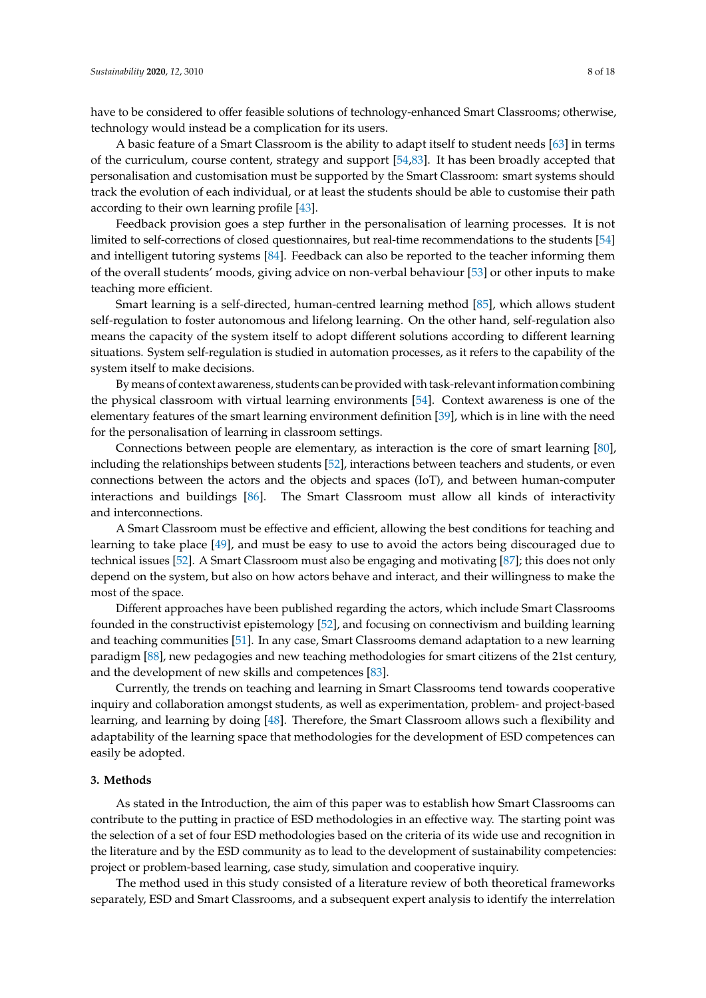have to be considered to offer feasible solutions of technology-enhanced Smart Classrooms; otherwise, technology would instead be a complication for its users.

A basic feature of a Smart Classroom is the ability to adapt itself to student needs [\[63\]](#page-16-4) in terms of the curriculum, course content, strategy and support [\[54,](#page-15-17)[83\]](#page-17-1). It has been broadly accepted that personalisation and customisation must be supported by the Smart Classroom: smart systems should track the evolution of each individual, or at least the students should be able to customise their path according to their own learning profile [\[43\]](#page-15-7).

Feedback provision goes a step further in the personalisation of learning processes. It is not limited to self-corrections of closed questionnaires, but real-time recommendations to the students [\[54\]](#page-15-17) and intelligent tutoring systems [\[84\]](#page-17-2). Feedback can also be reported to the teacher informing them of the overall students' moods, giving advice on non-verbal behaviour [\[53\]](#page-15-16) or other inputs to make teaching more efficient.

Smart learning is a self-directed, human-centred learning method [\[85\]](#page-17-3), which allows student self-regulation to foster autonomous and lifelong learning. On the other hand, self-regulation also means the capacity of the system itself to adopt different solutions according to different learning situations. System self-regulation is studied in automation processes, as it refers to the capability of the system itself to make decisions.

By means of context awareness, students can be provided with task-relevant information combining the physical classroom with virtual learning environments [\[54\]](#page-15-17). Context awareness is one of the elementary features of the smart learning environment definition [\[39\]](#page-15-3), which is in line with the need for the personalisation of learning in classroom settings.

Connections between people are elementary, as interaction is the core of smart learning [\[80\]](#page-16-21), including the relationships between students [\[52\]](#page-15-15), interactions between teachers and students, or even connections between the actors and the objects and spaces (IoT), and between human-computer interactions and buildings [\[86\]](#page-17-4). The Smart Classroom must allow all kinds of interactivity and interconnections.

A Smart Classroom must be effective and efficient, allowing the best conditions for teaching and learning to take place [\[49\]](#page-15-12), and must be easy to use to avoid the actors being discouraged due to technical issues [\[52\]](#page-15-15). A Smart Classroom must also be engaging and motivating [\[87\]](#page-17-5); this does not only depend on the system, but also on how actors behave and interact, and their willingness to make the most of the space.

Different approaches have been published regarding the actors, which include Smart Classrooms founded in the constructivist epistemology [\[52\]](#page-15-15), and focusing on connectivism and building learning and teaching communities [\[51\]](#page-15-14). In any case, Smart Classrooms demand adaptation to a new learning paradigm [\[88\]](#page-17-6), new pedagogies and new teaching methodologies for smart citizens of the 21st century, and the development of new skills and competences [\[83\]](#page-17-1).

Currently, the trends on teaching and learning in Smart Classrooms tend towards cooperative inquiry and collaboration amongst students, as well as experimentation, problem- and project-based learning, and learning by doing [\[48\]](#page-15-11). Therefore, the Smart Classroom allows such a flexibility and adaptability of the learning space that methodologies for the development of ESD competences can easily be adopted.

#### **3. Methods**

As stated in the Introduction, the aim of this paper was to establish how Smart Classrooms can contribute to the putting in practice of ESD methodologies in an effective way. The starting point was the selection of a set of four ESD methodologies based on the criteria of its wide use and recognition in the literature and by the ESD community as to lead to the development of sustainability competencies: project or problem-based learning, case study, simulation and cooperative inquiry.

The method used in this study consisted of a literature review of both theoretical frameworks separately, ESD and Smart Classrooms, and a subsequent expert analysis to identify the interrelation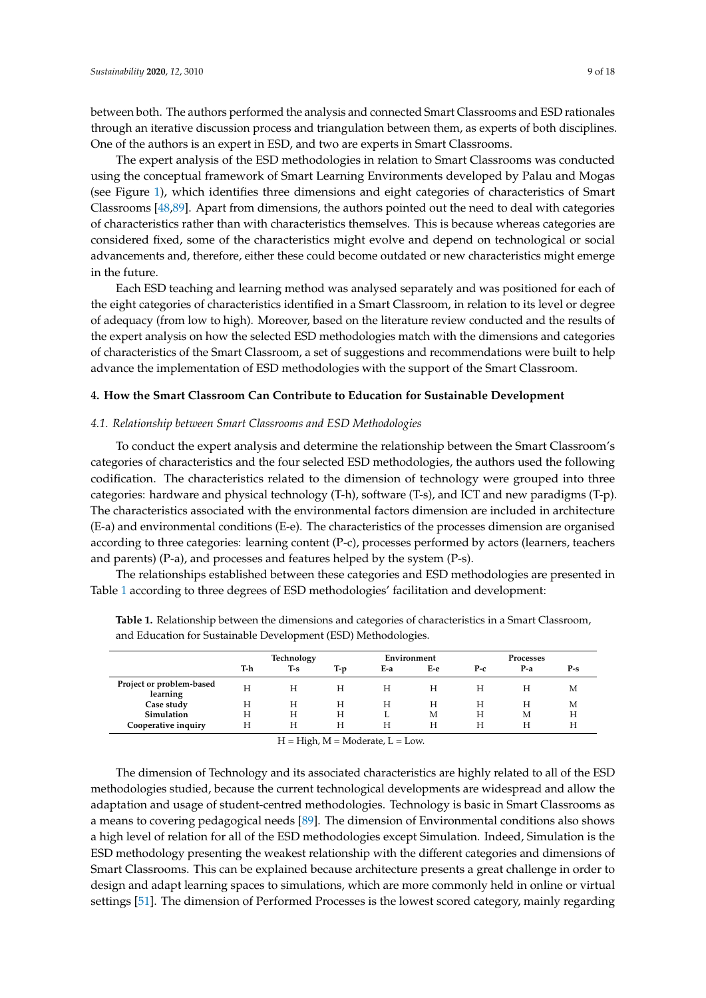between both. The authors performed the analysis and connected Smart Classrooms and ESD rationales through an iterative discussion process and triangulation between them, as experts of both disciplines. One of the authors is an expert in ESD, and two are experts in Smart Classrooms.

The expert analysis of the ESD methodologies in relation to Smart Classrooms was conducted using the conceptual framework of Smart Learning Environments developed by Palau and Mogas (see Figure [1\)](#page-5-0), which identifies three dimensions and eight categories of characteristics of Smart Classrooms [\[48](#page-15-11)[,89\]](#page-17-7). Apart from dimensions, the authors pointed out the need to deal with categories of characteristics rather than with characteristics themselves. This is because whereas categories are considered fixed, some of the characteristics might evolve and depend on technological or social advancements and, therefore, either these could become outdated or new characteristics might emerge in the future.

Each ESD teaching and learning method was analysed separately and was positioned for each of the eight categories of characteristics identified in a Smart Classroom, in relation to its level or degree of adequacy (from low to high). Moreover, based on the literature review conducted and the results of the expert analysis on how the selected ESD methodologies match with the dimensions and categories of characteristics of the Smart Classroom, a set of suggestions and recommendations were built to help advance the implementation of ESD methodologies with the support of the Smart Classroom.

# **4. How the Smart Classroom Can Contribute to Education for Sustainable Development**

# *4.1. Relationship between Smart Classrooms and ESD Methodologies*

To conduct the expert analysis and determine the relationship between the Smart Classroom's categories of characteristics and the four selected ESD methodologies, the authors used the following codification. The characteristics related to the dimension of technology were grouped into three categories: hardware and physical technology (T-h), software (T-s), and ICT and new paradigms (T-p). The characteristics associated with the environmental factors dimension are included in architecture (E-a) and environmental conditions (E-e). The characteristics of the processes dimension are organised according to three categories: learning content (P-c), processes performed by actors (learners, teachers and parents) (P-a), and processes and features helped by the system (P-s).

The relationships established between these categories and ESD methodologies are presented in Table [1](#page-8-0) according to three degrees of ESD methodologies' facilitation and development:

|                                      | Technology |       |       | Environment |     | Processes |       |       |
|--------------------------------------|------------|-------|-------|-------------|-----|-----------|-------|-------|
|                                      | T-h        | $T-S$ | $T-p$ | E-a         | Е-е | $P-c$     | $P-a$ | $P-S$ |
| Project or problem-based<br>learning | Н          | Н     | H     | H           | H   | н         | Н     | М     |
| Case study                           | Н          | Н     | H     | Н           | H   | H         | Н     | М     |
| Simulation                           | Н          | Н     | H     |             | М   | H         | М     | Н     |
| Cooperative inquiry                  | Н          | Н     | Н     | Н           | H   | н         | н     | Н     |

<span id="page-8-0"></span>**Table 1.** Relationship between the dimensions and categories of characteristics in a Smart Classroom, and Education for Sustainable Development (ESD) Methodologies.

 $H = High, M = Modern, L = Low.$ 

The dimension of Technology and its associated characteristics are highly related to all of the ESD methodologies studied, because the current technological developments are widespread and allow the adaptation and usage of student-centred methodologies. Technology is basic in Smart Classrooms as a means to covering pedagogical needs [\[89\]](#page-17-7). The dimension of Environmental conditions also shows a high level of relation for all of the ESD methodologies except Simulation. Indeed, Simulation is the ESD methodology presenting the weakest relationship with the different categories and dimensions of Smart Classrooms. This can be explained because architecture presents a great challenge in order to design and adapt learning spaces to simulations, which are more commonly held in online or virtual settings [\[51\]](#page-15-14). The dimension of Performed Processes is the lowest scored category, mainly regarding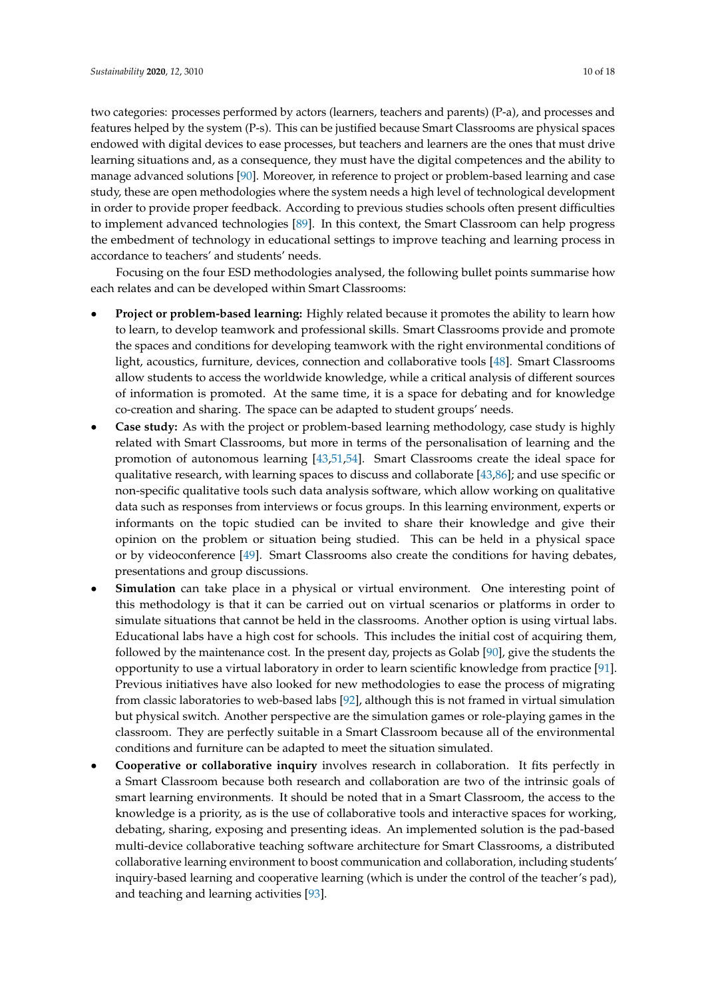two categories: processes performed by actors (learners, teachers and parents) (P-a), and processes and features helped by the system (P-s). This can be justified because Smart Classrooms are physical spaces endowed with digital devices to ease processes, but teachers and learners are the ones that must drive learning situations and, as a consequence, they must have the digital competences and the ability to manage advanced solutions [\[90\]](#page-17-8). Moreover, in reference to project or problem-based learning and case study, these are open methodologies where the system needs a high level of technological development in order to provide proper feedback. According to previous studies schools often present difficulties to implement advanced technologies [\[89\]](#page-17-7). In this context, the Smart Classroom can help progress the embedment of technology in educational settings to improve teaching and learning process in accordance to teachers' and students' needs.

Focusing on the four ESD methodologies analysed, the following bullet points summarise how each relates and can be developed within Smart Classrooms:

- **Project or problem-based learning:** Highly related because it promotes the ability to learn how to learn, to develop teamwork and professional skills. Smart Classrooms provide and promote the spaces and conditions for developing teamwork with the right environmental conditions of light, acoustics, furniture, devices, connection and collaborative tools [\[48\]](#page-15-11). Smart Classrooms allow students to access the worldwide knowledge, while a critical analysis of different sources of information is promoted. At the same time, it is a space for debating and for knowledge co-creation and sharing. The space can be adapted to student groups' needs.
- **Case study:** As with the project or problem-based learning methodology, case study is highly related with Smart Classrooms, but more in terms of the personalisation of learning and the promotion of autonomous learning [\[43](#page-15-7)[,51](#page-15-14)[,54\]](#page-15-17). Smart Classrooms create the ideal space for qualitative research, with learning spaces to discuss and collaborate [\[43](#page-15-7)[,86\]](#page-17-4); and use specific or non-specific qualitative tools such data analysis software, which allow working on qualitative data such as responses from interviews or focus groups. In this learning environment, experts or informants on the topic studied can be invited to share their knowledge and give their opinion on the problem or situation being studied. This can be held in a physical space or by videoconference [\[49\]](#page-15-12). Smart Classrooms also create the conditions for having debates, presentations and group discussions.
- **Simulation** can take place in a physical or virtual environment. One interesting point of this methodology is that it can be carried out on virtual scenarios or platforms in order to simulate situations that cannot be held in the classrooms. Another option is using virtual labs. Educational labs have a high cost for schools. This includes the initial cost of acquiring them, followed by the maintenance cost. In the present day, projects as Golab [\[90\]](#page-17-8), give the students the opportunity to use a virtual laboratory in order to learn scientific knowledge from practice [\[91\]](#page-17-9). Previous initiatives have also looked for new methodologies to ease the process of migrating from classic laboratories to web-based labs [\[92\]](#page-17-10), although this is not framed in virtual simulation but physical switch. Another perspective are the simulation games or role-playing games in the classroom. They are perfectly suitable in a Smart Classroom because all of the environmental conditions and furniture can be adapted to meet the situation simulated.
- **Cooperative or collaborative inquiry** involves research in collaboration. It fits perfectly in a Smart Classroom because both research and collaboration are two of the intrinsic goals of smart learning environments. It should be noted that in a Smart Classroom, the access to the knowledge is a priority, as is the use of collaborative tools and interactive spaces for working, debating, sharing, exposing and presenting ideas. An implemented solution is the pad-based multi-device collaborative teaching software architecture for Smart Classrooms, a distributed collaborative learning environment to boost communication and collaboration, including students' inquiry-based learning and cooperative learning (which is under the control of the teacher's pad), and teaching and learning activities [\[93\]](#page-17-11).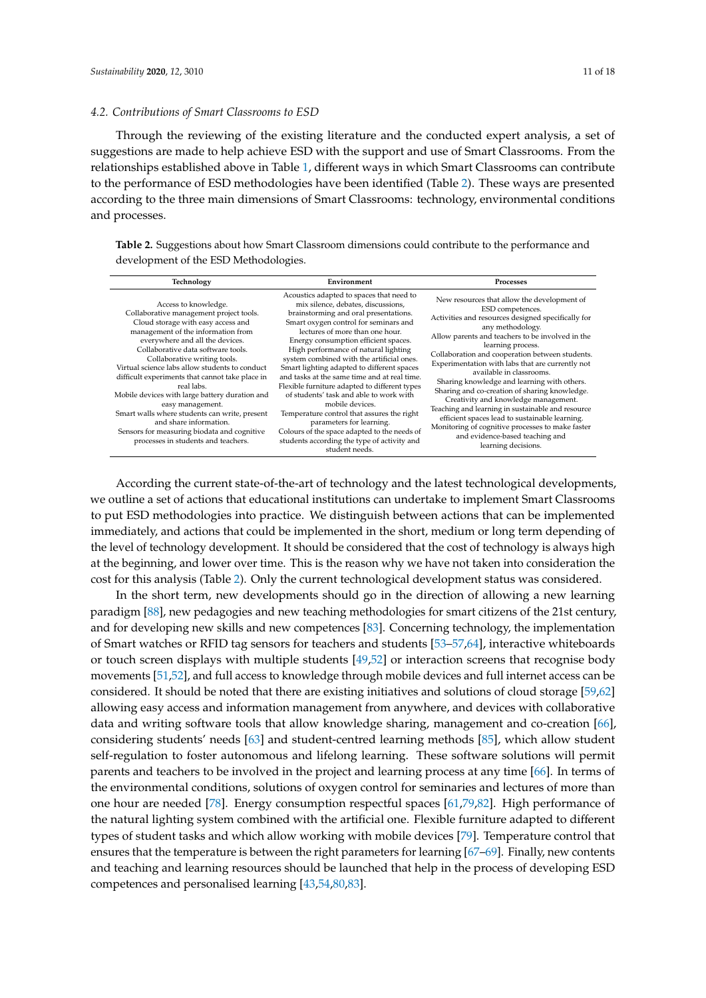#### *4.2. Contributions of Smart Classrooms to ESD*

Through the reviewing of the existing literature and the conducted expert analysis, a set of suggestions are made to help achieve ESD with the support and use of Smart Classrooms. From the relationships established above in Table [1,](#page-8-0) different ways in which Smart Classrooms can contribute to the performance of ESD methodologies have been identified (Table [2\)](#page-10-0). These ways are presented according to the three main dimensions of Smart Classrooms: technology, environmental conditions and processes.

<span id="page-10-0"></span>**Table 2.** Suggestions about how Smart Classroom dimensions could contribute to the performance and development of the ESD Methodologies.

| Technology                                                                                                                                                                                                                                                                                                                                                                                                                                                                                                                                                                                                     | Environment                                                                                                                                                                                                                                                                                                                                                                                                                                                                                                                                                                                                                                                                                                                              | <b>Processes</b>                                                                                                                                                                                                                                                                                                                                                                                                                                                                                                                                                                                                                                                                                                   |  |  |
|----------------------------------------------------------------------------------------------------------------------------------------------------------------------------------------------------------------------------------------------------------------------------------------------------------------------------------------------------------------------------------------------------------------------------------------------------------------------------------------------------------------------------------------------------------------------------------------------------------------|------------------------------------------------------------------------------------------------------------------------------------------------------------------------------------------------------------------------------------------------------------------------------------------------------------------------------------------------------------------------------------------------------------------------------------------------------------------------------------------------------------------------------------------------------------------------------------------------------------------------------------------------------------------------------------------------------------------------------------------|--------------------------------------------------------------------------------------------------------------------------------------------------------------------------------------------------------------------------------------------------------------------------------------------------------------------------------------------------------------------------------------------------------------------------------------------------------------------------------------------------------------------------------------------------------------------------------------------------------------------------------------------------------------------------------------------------------------------|--|--|
| Access to knowledge.<br>Collaborative management project tools.<br>Cloud storage with easy access and<br>management of the information from<br>everywhere and all the devices.<br>Collaborative data software tools.<br>Collaborative writing tools.<br>Virtual science labs allow students to conduct<br>difficult experiments that cannot take place in<br>real labs.<br>Mobile devices with large battery duration and<br>easy management.<br>Smart walls where students can write, present<br>and share information.<br>Sensors for measuring biodata and cognitive<br>processes in students and teachers. | Acoustics adapted to spaces that need to<br>mix silence, debates, discussions,<br>brainstorming and oral presentations.<br>Smart oxygen control for seminars and<br>lectures of more than one hour.<br>Energy consumption efficient spaces.<br>High performance of natural lighting<br>system combined with the artificial ones.<br>Smart lighting adapted to different spaces<br>and tasks at the same time and at real time.<br>Flexible furniture adapted to different types<br>of students' task and able to work with<br>mobile devices.<br>Temperature control that assures the right<br>parameters for learning.<br>Colours of the space adapted to the needs of<br>students according the type of activity and<br>student needs. | New resources that allow the development of<br>ESD competences.<br>Activities and resources designed specifically for<br>any methodology.<br>Allow parents and teachers to be involved in the<br>learning process.<br>Collaboration and cooperation between students.<br>Experimentation with labs that are currently not<br>available in classrooms.<br>Sharing knowledge and learning with others.<br>Sharing and co-creation of sharing knowledge.<br>Creativity and knowledge management.<br>Teaching and learning in sustainable and resource<br>efficient spaces lead to sustainable learning.<br>Monitoring of cognitive processes to make faster<br>and evidence-based teaching and<br>learning decisions. |  |  |

According the current state-of-the-art of technology and the latest technological developments, we outline a set of actions that educational institutions can undertake to implement Smart Classrooms to put ESD methodologies into practice. We distinguish between actions that can be implemented immediately, and actions that could be implemented in the short, medium or long term depending of the level of technology development. It should be considered that the cost of technology is always high at the beginning, and lower over time. This is the reason why we have not taken into consideration the cost for this analysis (Table [2\)](#page-10-0). Only the current technological development status was considered.

In the short term, new developments should go in the direction of allowing a new learning paradigm [\[88\]](#page-17-6), new pedagogies and new teaching methodologies for smart citizens of the 21st century, and for developing new skills and new competences [\[83\]](#page-17-1). Concerning technology, the implementation of Smart watches or RFID tag sensors for teachers and students [\[53](#page-15-16)[–57](#page-15-20)[,64\]](#page-16-5), interactive whiteboards or touch screen displays with multiple students [\[49](#page-15-12)[,52\]](#page-15-15) or interaction screens that recognise body movements [\[51](#page-15-14)[,52\]](#page-15-15), and full access to knowledge through mobile devices and full internet access can be considered. It should be noted that there are existing initiatives and solutions of cloud storage [\[59](#page-16-0)[,62\]](#page-16-3) allowing easy access and information management from anywhere, and devices with collaborative data and writing software tools that allow knowledge sharing, management and co-creation [\[66\]](#page-16-7), considering students' needs [\[63\]](#page-16-4) and student-centred learning methods [\[85\]](#page-17-3), which allow student self-regulation to foster autonomous and lifelong learning. These software solutions will permit parents and teachers to be involved in the project and learning process at any time [\[66\]](#page-16-7). In terms of the environmental conditions, solutions of oxygen control for seminaries and lectures of more than one hour are needed [\[78\]](#page-16-19). Energy consumption respectful spaces [\[61,](#page-16-2)[79,](#page-16-20)[82\]](#page-17-0). High performance of the natural lighting system combined with the artificial one. Flexible furniture adapted to different types of student tasks and which allow working with mobile devices [\[79\]](#page-16-20). Temperature control that ensures that the temperature is between the right parameters for learning [\[67–](#page-16-8)[69\]](#page-16-10). Finally, new contents and teaching and learning resources should be launched that help in the process of developing ESD competences and personalised learning [\[43](#page-15-7)[,54](#page-15-17)[,80](#page-16-21)[,83\]](#page-17-1).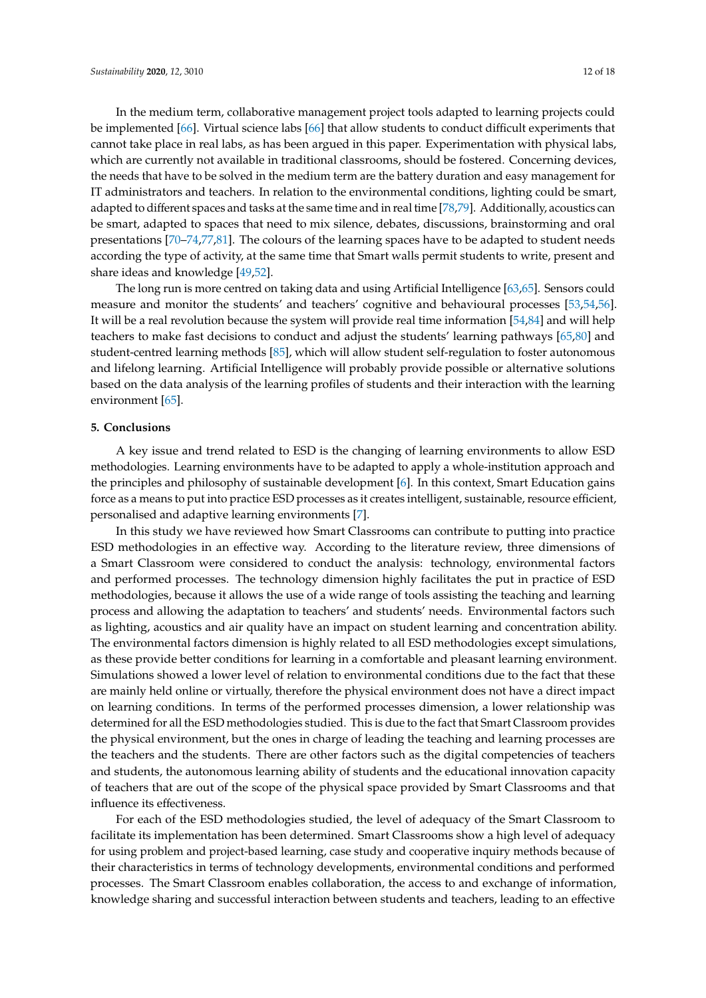In the medium term, collaborative management project tools adapted to learning projects could be implemented [\[66\]](#page-16-7). Virtual science labs [\[66\]](#page-16-7) that allow students to conduct difficult experiments that cannot take place in real labs, as has been argued in this paper. Experimentation with physical labs, which are currently not available in traditional classrooms, should be fostered. Concerning devices, the needs that have to be solved in the medium term are the battery duration and easy management for IT administrators and teachers. In relation to the environmental conditions, lighting could be smart, adapted to different spaces and tasks at the same time and in real time [\[78](#page-16-19)[,79\]](#page-16-20). Additionally, acoustics can be smart, adapted to spaces that need to mix silence, debates, discussions, brainstorming and oral presentations [\[70–](#page-16-11)[74](#page-16-15)[,77,](#page-16-18)[81\]](#page-16-22). The colours of the learning spaces have to be adapted to student needs according the type of activity, at the same time that Smart walls permit students to write, present and share ideas and knowledge [\[49](#page-15-12)[,52\]](#page-15-15).

The long run is more centred on taking data and using Artificial Intelligence [\[63](#page-16-4)[,65\]](#page-16-6). Sensors could measure and monitor the students' and teachers' cognitive and behavioural processes [\[53,](#page-15-16)[54,](#page-15-17)[56\]](#page-15-19). It will be a real revolution because the system will provide real time information [\[54](#page-15-17)[,84\]](#page-17-2) and will help teachers to make fast decisions to conduct and adjust the students' learning pathways [\[65,](#page-16-6)[80\]](#page-16-21) and student-centred learning methods [\[85\]](#page-17-3), which will allow student self-regulation to foster autonomous and lifelong learning. Artificial Intelligence will probably provide possible or alternative solutions based on the data analysis of the learning profiles of students and their interaction with the learning environment [\[65\]](#page-16-6).

#### **5. Conclusions**

A key issue and trend related to ESD is the changing of learning environments to allow ESD methodologies. Learning environments have to be adapted to apply a whole-institution approach and the principles and philosophy of sustainable development [\[6\]](#page-13-5). In this context, Smart Education gains force as a means to put into practice ESD processes as it creates intelligent, sustainable, resource efficient, personalised and adaptive learning environments [\[7\]](#page-13-6).

In this study we have reviewed how Smart Classrooms can contribute to putting into practice ESD methodologies in an effective way. According to the literature review, three dimensions of a Smart Classroom were considered to conduct the analysis: technology, environmental factors and performed processes. The technology dimension highly facilitates the put in practice of ESD methodologies, because it allows the use of a wide range of tools assisting the teaching and learning process and allowing the adaptation to teachers' and students' needs. Environmental factors such as lighting, acoustics and air quality have an impact on student learning and concentration ability. The environmental factors dimension is highly related to all ESD methodologies except simulations, as these provide better conditions for learning in a comfortable and pleasant learning environment. Simulations showed a lower level of relation to environmental conditions due to the fact that these are mainly held online or virtually, therefore the physical environment does not have a direct impact on learning conditions. In terms of the performed processes dimension, a lower relationship was determined for all the ESD methodologies studied. This is due to the fact that Smart Classroom provides the physical environment, but the ones in charge of leading the teaching and learning processes are the teachers and the students. There are other factors such as the digital competencies of teachers and students, the autonomous learning ability of students and the educational innovation capacity of teachers that are out of the scope of the physical space provided by Smart Classrooms and that influence its effectiveness.

For each of the ESD methodologies studied, the level of adequacy of the Smart Classroom to facilitate its implementation has been determined. Smart Classrooms show a high level of adequacy for using problem and project-based learning, case study and cooperative inquiry methods because of their characteristics in terms of technology developments, environmental conditions and performed processes. The Smart Classroom enables collaboration, the access to and exchange of information, knowledge sharing and successful interaction between students and teachers, leading to an effective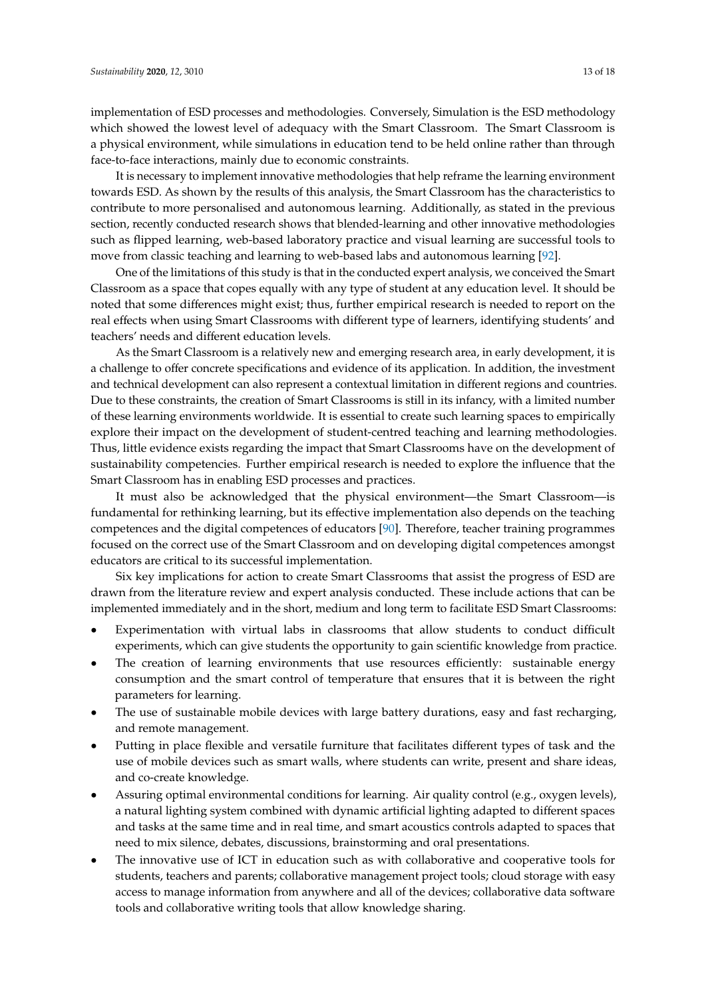implementation of ESD processes and methodologies. Conversely, Simulation is the ESD methodology which showed the lowest level of adequacy with the Smart Classroom. The Smart Classroom is a physical environment, while simulations in education tend to be held online rather than through face-to-face interactions, mainly due to economic constraints.

It is necessary to implement innovative methodologies that help reframe the learning environment towards ESD. As shown by the results of this analysis, the Smart Classroom has the characteristics to contribute to more personalised and autonomous learning. Additionally, as stated in the previous section, recently conducted research shows that blended-learning and other innovative methodologies such as flipped learning, web-based laboratory practice and visual learning are successful tools to move from classic teaching and learning to web-based labs and autonomous learning [\[92\]](#page-17-10).

One of the limitations of this study is that in the conducted expert analysis, we conceived the Smart Classroom as a space that copes equally with any type of student at any education level. It should be noted that some differences might exist; thus, further empirical research is needed to report on the real effects when using Smart Classrooms with different type of learners, identifying students' and teachers' needs and different education levels.

As the Smart Classroom is a relatively new and emerging research area, in early development, it is a challenge to offer concrete specifications and evidence of its application. In addition, the investment and technical development can also represent a contextual limitation in different regions and countries. Due to these constraints, the creation of Smart Classrooms is still in its infancy, with a limited number of these learning environments worldwide. It is essential to create such learning spaces to empirically explore their impact on the development of student-centred teaching and learning methodologies. Thus, little evidence exists regarding the impact that Smart Classrooms have on the development of sustainability competencies. Further empirical research is needed to explore the influence that the Smart Classroom has in enabling ESD processes and practices.

It must also be acknowledged that the physical environment—the Smart Classroom—is fundamental for rethinking learning, but its effective implementation also depends on the teaching competences and the digital competences of educators [\[90\]](#page-17-8). Therefore, teacher training programmes focused on the correct use of the Smart Classroom and on developing digital competences amongst educators are critical to its successful implementation.

Six key implications for action to create Smart Classrooms that assist the progress of ESD are drawn from the literature review and expert analysis conducted. These include actions that can be implemented immediately and in the short, medium and long term to facilitate ESD Smart Classrooms:

- Experimentation with virtual labs in classrooms that allow students to conduct difficult experiments, which can give students the opportunity to gain scientific knowledge from practice.
- The creation of learning environments that use resources efficiently: sustainable energy consumption and the smart control of temperature that ensures that it is between the right parameters for learning.
- The use of sustainable mobile devices with large battery durations, easy and fast recharging, and remote management.
- Putting in place flexible and versatile furniture that facilitates different types of task and the use of mobile devices such as smart walls, where students can write, present and share ideas, and co-create knowledge.
- Assuring optimal environmental conditions for learning. Air quality control (e.g., oxygen levels), a natural lighting system combined with dynamic artificial lighting adapted to different spaces and tasks at the same time and in real time, and smart acoustics controls adapted to spaces that need to mix silence, debates, discussions, brainstorming and oral presentations.
- The innovative use of ICT in education such as with collaborative and cooperative tools for students, teachers and parents; collaborative management project tools; cloud storage with easy access to manage information from anywhere and all of the devices; collaborative data software tools and collaborative writing tools that allow knowledge sharing.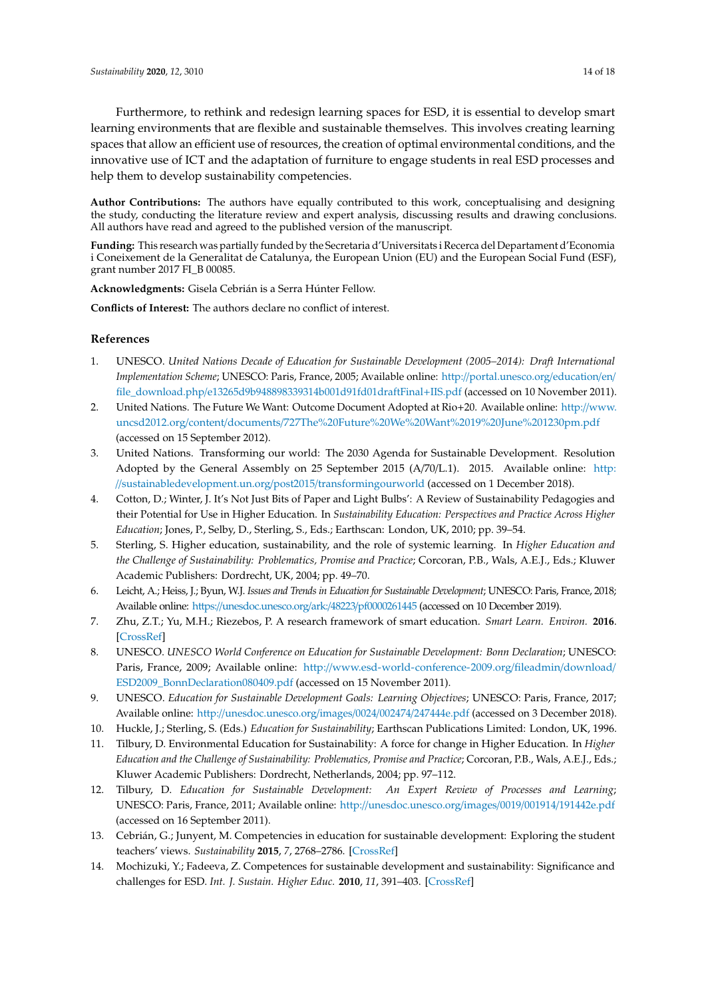Furthermore, to rethink and redesign learning spaces for ESD, it is essential to develop smart learning environments that are flexible and sustainable themselves. This involves creating learning spaces that allow an efficient use of resources, the creation of optimal environmental conditions, and the innovative use of ICT and the adaptation of furniture to engage students in real ESD processes and help them to develop sustainability competencies.

**Author Contributions:** The authors have equally contributed to this work, conceptualising and designing the study, conducting the literature review and expert analysis, discussing results and drawing conclusions. All authors have read and agreed to the published version of the manuscript.

**Funding:** This research was partially funded by the Secretaria d'Universitats i Recerca del Departament d'Economia i Coneixement de la Generalitat de Catalunya, the European Union (EU) and the European Social Fund (ESF), grant number 2017 FI\_B 00085.

**Acknowledgments:** Gisela Cebrián is a Serra Húnter Fellow.

**Conflicts of Interest:** The authors declare no conflict of interest.

# **References**

- <span id="page-13-0"></span>1. UNESCO. *United Nations Decade of Education for Sustainable Development (2005–2014): Draft International Implementation Scheme*; UNESCO: Paris, France, 2005; Available online: http://[portal.unesco.org](http://portal.unesco.org/education/en/file_download.php/e13265d9b948898339314b001d91fd01draftFinal+IIS.pdf)/education/en/ file\_download.php/[e13265d9b948898339314b001d91fd01draftFinal](http://portal.unesco.org/education/en/file_download.php/e13265d9b948898339314b001d91fd01draftFinal+IIS.pdf)+IIS.pdf (accessed on 10 November 2011).
- <span id="page-13-1"></span>2. United Nations. The Future We Want: Outcome Document Adopted at Rio+20. Available online: http://[www.](http://www.uncsd2012.org/content/documents/727The%20Future%20We%20Want%2019%20June%201230pm.pdf) uncsd2012.org/content/documents/[727The%20Future%20We%20Want%2019%20June%201230pm.pdf](http://www.uncsd2012.org/content/documents/727The%20Future%20We%20Want%2019%20June%201230pm.pdf) (accessed on 15 September 2012).
- <span id="page-13-2"></span>3. United Nations. Transforming our world: The 2030 Agenda for Sustainable Development. Resolution Adopted by the General Assembly on 25 September 2015 (A/70/L.1). 2015. Available online: [http:](http://sustainabledevelopment.un.org/post2015/transformingourworld) //[sustainabledevelopment.un.org](http://sustainabledevelopment.un.org/post2015/transformingourworld)/post2015/transformingourworld (accessed on 1 December 2018).
- <span id="page-13-3"></span>4. Cotton, D.; Winter, J. It's Not Just Bits of Paper and Light Bulbs': A Review of Sustainability Pedagogies and their Potential for Use in Higher Education. In *Sustainability Education: Perspectives and Practice Across Higher Education*; Jones, P., Selby, D., Sterling, S., Eds.; Earthscan: London, UK, 2010; pp. 39–54.
- <span id="page-13-4"></span>5. Sterling, S. Higher education, sustainability, and the role of systemic learning. In *Higher Education and the Challenge of Sustainability: Problematics, Promise and Practice*; Corcoran, P.B., Wals, A.E.J., Eds.; Kluwer Academic Publishers: Dordrecht, UK, 2004; pp. 49–70.
- <span id="page-13-5"></span>6. Leicht, A.; Heiss, J.; Byun, W.J. *Issues and Trends in Education for Sustainable Development*; UNESCO: Paris, France, 2018; Available online: https://[unesdoc.unesco.org](https://unesdoc.unesco.org/ark:/48223/pf0000261445)/ark:/48223/pf0000261445 (accessed on 10 December 2019).
- <span id="page-13-6"></span>7. Zhu, Z.T.; Yu, M.H.; Riezebos, P. A research framework of smart education. *Smart Learn. Environ.* **2016**. [\[CrossRef\]](http://dx.doi.org/10.1186/s40561-016-0026-2)
- <span id="page-13-7"></span>8. UNESCO. *UNESCO World Conference on Education for Sustainable Development: Bonn Declaration; UNESCO:* Paris, France, 2009; Available online: http://[www.esd-world-conference-2009.org](http://www.esd-world-conference-2009.org/fileadmin/download/ESD2009_BonnDeclaration080409.pdf)/fileadmin/download/ [ESD2009\\_BonnDeclaration080409.pdf](http://www.esd-world-conference-2009.org/fileadmin/download/ESD2009_BonnDeclaration080409.pdf) (accessed on 15 November 2011).
- <span id="page-13-8"></span>9. UNESCO. *Education for Sustainable Development Goals: Learning Objectives*; UNESCO: Paris, France, 2017; Available online: http://[unesdoc.unesco.org](http://unesdoc.unesco.org/images/0024/002474/247444e.pdf)/images/0024/002474/247444e.pdf (accessed on 3 December 2018).
- <span id="page-13-9"></span>10. Huckle, J.; Sterling, S. (Eds.) *Education for Sustainability*; Earthscan Publications Limited: London, UK, 1996.
- <span id="page-13-10"></span>11. Tilbury, D. Environmental Education for Sustainability: A force for change in Higher Education. In *Higher Education and the Challenge of Sustainability: Problematics, Promise and Practice*; Corcoran, P.B., Wals, A.E.J., Eds.; Kluwer Academic Publishers: Dordrecht, Netherlands, 2004; pp. 97–112.
- <span id="page-13-11"></span>12. Tilbury, D. *Education for Sustainable Development: An Expert Review of Processes and Learning*; UNESCO: Paris, France, 2011; Available online: http://[unesdoc.unesco.org](http://unesdoc.unesco.org/images/0019/001914/191442e.pdf)/images/0019/001914/191442e.pdf (accessed on 16 September 2011).
- <span id="page-13-12"></span>13. Cebrián, G.; Junyent, M. Competencies in education for sustainable development: Exploring the student teachers' views. *Sustainability* **2015**, *7*, 2768–2786. [\[CrossRef\]](http://dx.doi.org/10.3390/su7032768)
- 14. Mochizuki, Y.; Fadeeva, Z. Competences for sustainable development and sustainability: Significance and challenges for ESD. *Int. J. Sustain. Higher Educ.* **2010**, *11*, 391–403. [\[CrossRef\]](http://dx.doi.org/10.1108/14676371011077603)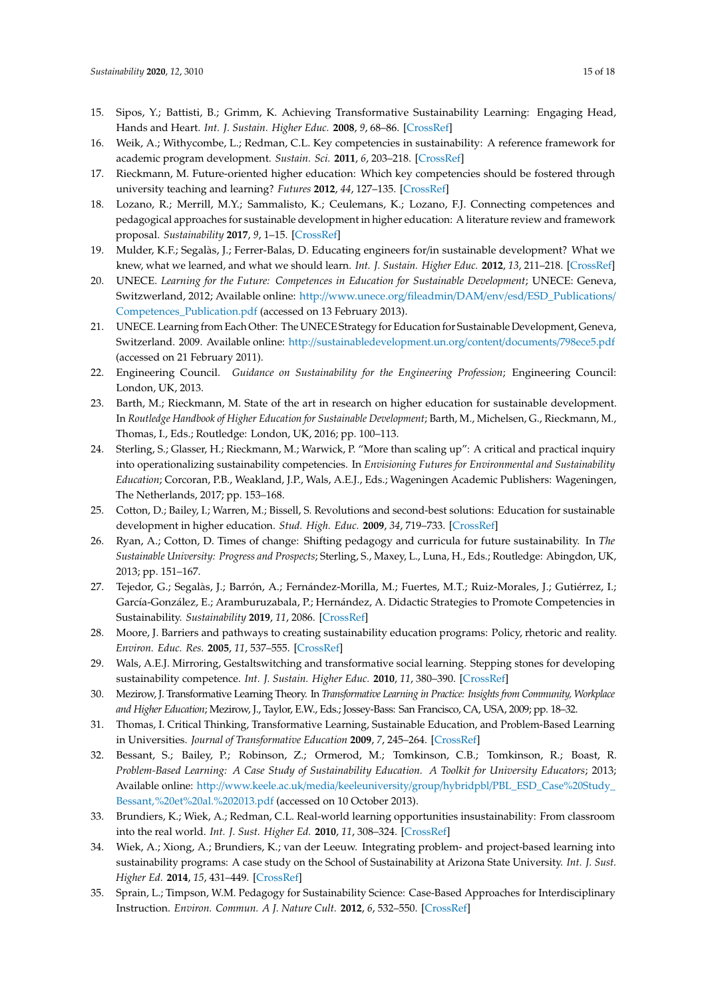- <span id="page-14-12"></span>15. Sipos, Y.; Battisti, B.; Grimm, K. Achieving Transformative Sustainability Learning: Engaging Head, Hands and Heart. *Int. J. Sustain. Higher Educ.* **2008**, *9*, 68–86. [\[CrossRef\]](http://dx.doi.org/10.1108/14676370810842193)
- <span id="page-14-0"></span>16. Weik, A.; Withycombe, L.; Redman, C.L. Key competencies in sustainability: A reference framework for academic program development. *Sustain. Sci.* **2011**, *6*, 203–218. [\[CrossRef\]](http://dx.doi.org/10.1007/s11625-011-0132-6)
- <span id="page-14-1"></span>17. Rieckmann, M. Future-oriented higher education: Which key competencies should be fostered through university teaching and learning? *Futures* **2012**, *44*, 127–135. [\[CrossRef\]](http://dx.doi.org/10.1016/j.futures.2011.09.005)
- <span id="page-14-2"></span>18. Lozano, R.; Merrill, M.Y.; Sammalisto, K.; Ceulemans, K.; Lozano, F.J. Connecting competences and pedagogical approaches for sustainable development in higher education: A literature review and framework proposal. *Sustainability* **2017**, *9*, 1–15. [\[CrossRef\]](http://dx.doi.org/10.3390/su9101889)
- <span id="page-14-3"></span>19. Mulder, K.F.; Segalàs, J.; Ferrer-Balas, D. Educating engineers for/in sustainable development? What we knew, what we learned, and what we should learn. *Int. J. Sustain. Higher Educ.* **2012**, *13*, 211–218. [\[CrossRef\]](http://dx.doi.org/10.1108/14676371211242535)
- <span id="page-14-4"></span>20. UNECE. *Learning for the Future: Competences in Education for Sustainable Development*; UNECE: Geneva, Switzwerland, 2012; Available online: http://www.unece.org/fileadmin/DAM/env/esd/[ESD\\_Publications](http://www.unece.org/fileadmin/DAM/env/esd/ESD_Publications/Competences_Publication.pdf)/ [Competences\\_Publication.pdf](http://www.unece.org/fileadmin/DAM/env/esd/ESD_Publications/Competences_Publication.pdf) (accessed on 13 February 2013).
- <span id="page-14-5"></span>21. UNECE. Learning from Each Other: The UNECE Strategy for Education for Sustainable Development, Geneva, Switzerland. 2009. Available online: http://[sustainabledevelopment.un.org](http://sustainabledevelopment.un.org/content/documents/798ece5.pdf)/content/documents/798ece5.pdf (accessed on 21 February 2011).
- <span id="page-14-6"></span>22. Engineering Council. *Guidance on Sustainability for the Engineering Profession*; Engineering Council: London, UK, 2013.
- <span id="page-14-7"></span>23. Barth, M.; Rieckmann, M. State of the art in research on higher education for sustainable development. In *Routledge Handbook of Higher Education for Sustainable Development*; Barth, M., Michelsen, G., Rieckmann, M., Thomas, I., Eds.; Routledge: London, UK, 2016; pp. 100–113.
- <span id="page-14-8"></span>24. Sterling, S.; Glasser, H.; Rieckmann, M.; Warwick, P. "More than scaling up": A critical and practical inquiry into operationalizing sustainability competencies. In *Envisioning Futures for Environmental and Sustainability Education*; Corcoran, P.B., Weakland, J.P., Wals, A.E.J., Eds.; Wageningen Academic Publishers: Wageningen, The Netherlands, 2017; pp. 153–168.
- <span id="page-14-9"></span>25. Cotton, D.; Bailey, I.; Warren, M.; Bissell, S. Revolutions and second-best solutions: Education for sustainable development in higher education. *Stud. High. Educ.* **2009**, *34*, 719–733. [\[CrossRef\]](http://dx.doi.org/10.1080/03075070802641552)
- <span id="page-14-10"></span>26. Ryan, A.; Cotton, D. Times of change: Shifting pedagogy and curricula for future sustainability. In *The Sustainable University: Progress and Prospects*; Sterling, S., Maxey, L., Luna, H., Eds.; Routledge: Abingdon, UK, 2013; pp. 151–167.
- <span id="page-14-11"></span>27. Tejedor, G.; Segalàs, J.; Barrón, A.; Fernández-Morilla, M.; Fuertes, M.T.; Ruiz-Morales, J.; Gutiérrez, I.; García-González, E.; Aramburuzabala, P.; Hernández, A. Didactic Strategies to Promote Competencies in Sustainability. *Sustainability* **2019**, *11*, 2086. [\[CrossRef\]](http://dx.doi.org/10.3390/su11072086)
- <span id="page-14-13"></span>28. Moore, J. Barriers and pathways to creating sustainability education programs: Policy, rhetoric and reality. *Environ. Educ. Res.* **2005**, *11*, 537–555. [\[CrossRef\]](http://dx.doi.org/10.1080/13504620500169692)
- <span id="page-14-14"></span>29. Wals, A.E.J. Mirroring, Gestaltswitching and transformative social learning. Stepping stones for developing sustainability competence. *Int. J. Sustain. Higher Educ.* **2010**, *11*, 380–390. [\[CrossRef\]](http://dx.doi.org/10.1108/14676371011077595)
- <span id="page-14-15"></span>30. Mezirow, J. Transformative Learning Theory. In *Transformative Learning in Practice: Insights from Community, Workplace and Higher Education*; Mezirow, J., Taylor, E.W., Eds.; Jossey-Bass: San Francisco, CA, USA, 2009; pp. 18–32.
- <span id="page-14-16"></span>31. Thomas, I. Critical Thinking, Transformative Learning, Sustainable Education, and Problem-Based Learning in Universities. *Journal of Transformative Education* **2009**, *7*, 245–264. [\[CrossRef\]](http://dx.doi.org/10.1177/1541344610385753)
- <span id="page-14-17"></span>32. Bessant, S.; Bailey, P.; Robinson, Z.; Ormerod, M.; Tomkinson, C.B.; Tomkinson, R.; Boast, R. *Problem-Based Learning: A Case Study of Sustainability Education. A Toolkit for University Educators*; 2013; Available online: http://www.keele.ac.uk/media/keeleuniversity/group/hybridpbl/[PBL\\_ESD\\_Case%20Study\\_](http://www.keele.ac.uk/media/keeleuniversity/group/hybridpbl/PBL_ESD_Case%20Study_Bessant,%20et%20al.%202013.pdf) [Bessant,%20et%20al.%202013.pdf](http://www.keele.ac.uk/media/keeleuniversity/group/hybridpbl/PBL_ESD_Case%20Study_Bessant,%20et%20al.%202013.pdf) (accessed on 10 October 2013).
- <span id="page-14-18"></span>33. Brundiers, K.; Wiek, A.; Redman, C.L. Real-world learning opportunities insustainability: From classroom into the real world. *Int. J. Sust. Higher Ed.* **2010**, *11*, 308–324. [\[CrossRef\]](http://dx.doi.org/10.1108/14676371011077540)
- <span id="page-14-19"></span>34. Wiek, A.; Xiong, A.; Brundiers, K.; van der Leeuw. Integrating problem- and project-based learning into sustainability programs: A case study on the School of Sustainability at Arizona State University. *Int. J. Sust. Higher Ed.* **2014**, *15*, 431–449. [\[CrossRef\]](http://dx.doi.org/10.1108/IJSHE-02-2013-0013)
- <span id="page-14-20"></span>35. Sprain, L.; Timpson, W.M. Pedagogy for Sustainability Science: Case-Based Approaches for Interdisciplinary Instruction. *Environ. Commun. A J. Nature Cult.* **2012**, *6*, 532–550. [\[CrossRef\]](http://dx.doi.org/10.1080/17524032.2012.714394)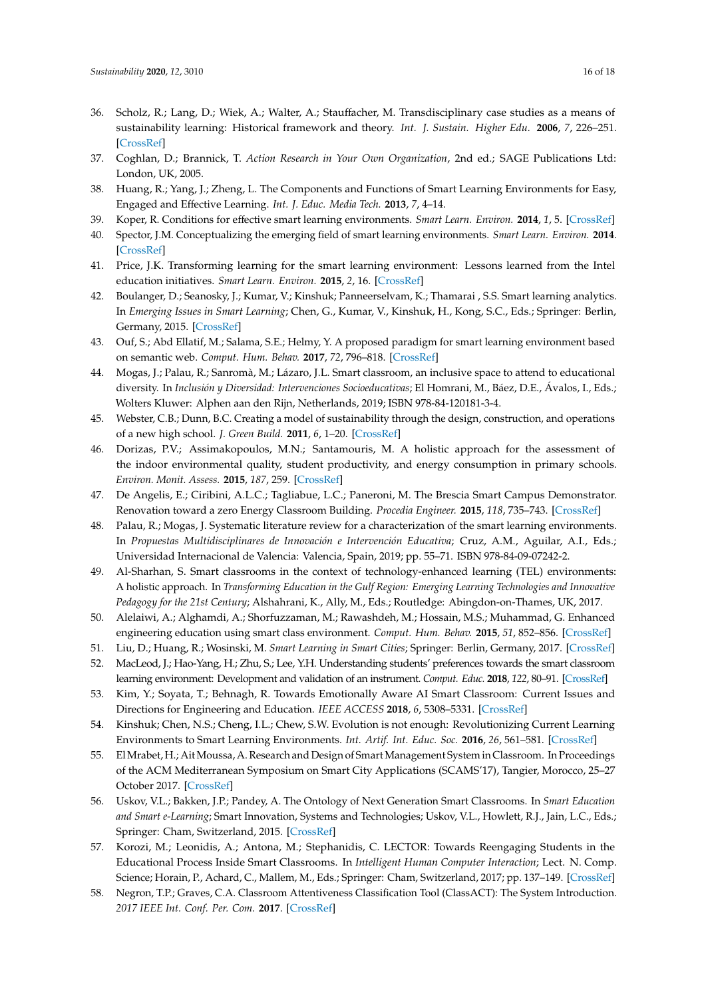- <span id="page-15-0"></span>36. Scholz, R.; Lang, D.; Wiek, A.; Walter, A.; Stauffacher, M. Transdisciplinary case studies as a means of sustainability learning: Historical framework and theory. *Int. J. Sustain. Higher Edu.* **2006**, *7*, 226–251. [\[CrossRef\]](http://dx.doi.org/10.1108/14676370610677829)
- <span id="page-15-1"></span>37. Coghlan, D.; Brannick, T. *Action Research in Your Own Organization*, 2nd ed.; SAGE Publications Ltd: London, UK, 2005.
- <span id="page-15-2"></span>38. Huang, R.; Yang, J.; Zheng, L. The Components and Functions of Smart Learning Environments for Easy, Engaged and Effective Learning. *Int. J. Educ. Media Tech.* **2013**, *7*, 4–14.
- <span id="page-15-3"></span>39. Koper, R. Conditions for effective smart learning environments. *Smart Learn. Environ.* **2014**, *1*, 5. [\[CrossRef\]](http://dx.doi.org/10.1186/s40561-014-0005-4)
- <span id="page-15-4"></span>40. Spector, J.M. Conceptualizing the emerging field of smart learning environments. *Smart Learn. Environ.* **2014**. [\[CrossRef\]](http://dx.doi.org/10.1186/s40561-014-0002-7)
- <span id="page-15-5"></span>41. Price, J.K. Transforming learning for the smart learning environment: Lessons learned from the Intel education initiatives. *Smart Learn. Environ.* **2015**, *2*, 16. [\[CrossRef\]](http://dx.doi.org/10.1186/s40561-015-0022-y)
- <span id="page-15-6"></span>42. Boulanger, D.; Seanosky, J.; Kumar, V.; Kinshuk; Panneerselvam, K.; Thamarai , S.S. Smart learning analytics. In *Emerging Issues in Smart Learning*; Chen, G., Kumar, V., Kinshuk, H., Kong, S.C., Eds.; Springer: Berlin, Germany, 2015. [\[CrossRef\]](http://dx.doi.org/10.1007/978-3-662-44188-6_39)
- <span id="page-15-7"></span>43. Ouf, S.; Abd Ellatif, M.; Salama, S.E.; Helmy, Y. A proposed paradigm for smart learning environment based on semantic web. *Comput. Hum. Behav.* **2017**, *72*, 796–818. [\[CrossRef\]](http://dx.doi.org/10.1016/j.chb.2016.08.030)
- <span id="page-15-8"></span>44. Mogas, J.; Palau, R.; Sanromà, M.; Lázaro, J.L. Smart classroom, an inclusive space to attend to educational diversity. In *Inclusión y Diversidad: Intervenciones Socioeducativas*; El Homrani, M., Báez, D.E., Ávalos, I., Eds.; Wolters Kluwer: Alphen aan den Rijn, Netherlands, 2019; ISBN 978-84-120181-3-4.
- <span id="page-15-9"></span>45. Webster, C.B.; Dunn, B.C. Creating a model of sustainability through the design, construction, and operations of a new high school. *J. Green Build.* **2011**, *6*, 1–20. [\[CrossRef\]](http://dx.doi.org/10.3992/jgb.6.3.1)
- 46. Dorizas, P.V.; Assimakopoulos, M.N.; Santamouris, M. A holistic approach for the assessment of the indoor environmental quality, student productivity, and energy consumption in primary schools. *Environ. Monit. Assess.* **2015**, *187*, 259. [\[CrossRef\]](http://dx.doi.org/10.1007/s10661-015-4503-9)
- <span id="page-15-10"></span>47. De Angelis, E.; Ciribini, A.L.C.; Tagliabue, L.C.; Paneroni, M. The Brescia Smart Campus Demonstrator. Renovation toward a zero Energy Classroom Building. *Procedia Engineer.* **2015**, *118*, 735–743. [\[CrossRef\]](http://dx.doi.org/10.1016/j.proeng.2015.08.508)
- <span id="page-15-11"></span>48. Palau, R.; Mogas, J. Systematic literature review for a characterization of the smart learning environments. In *Propuestas Multidisciplinares de Innovación e Intervención Educativa*; Cruz, A.M., Aguilar, A.I., Eds.; Universidad Internacional de Valencia: Valencia, Spain, 2019; pp. 55–71. ISBN 978-84-09-07242-2.
- <span id="page-15-12"></span>49. Al-Sharhan, S. Smart classrooms in the context of technology-enhanced learning (TEL) environments: A holistic approach. In *Transforming Education in the Gulf Region: Emerging Learning Technologies and Innovative Pedagogy for the 21st Century*; Alshahrani, K., Ally, M., Eds.; Routledge: Abingdon-on-Thames, UK, 2017.
- <span id="page-15-13"></span>50. Alelaiwi, A.; Alghamdi, A.; Shorfuzzaman, M.; Rawashdeh, M.; Hossain, M.S.; Muhammad, G. Enhanced engineering education using smart class environment. *Comput. Hum. Behav.* **2015**, *51*, 852–856. [\[CrossRef\]](http://dx.doi.org/10.1016/j.chb.2014.11.061)
- <span id="page-15-14"></span>51. Liu, D.; Huang, R.; Wosinski, M. *Smart Learning in Smart Cities*; Springer: Berlin, Germany, 2017. [\[CrossRef\]](http://dx.doi.org/10.1007/978-981-10-4343-7)
- <span id="page-15-15"></span>52. MacLeod, J.; Hao-Yang, H.; Zhu, S.; Lee, Y.H. Understanding students' preferences towards the smart classroom learning environment: Development and validation of an instrument. *Comput. Educ.* **2018**, *122*, 80–91. [\[CrossRef\]](http://dx.doi.org/10.1016/j.compedu.2018.03.015)
- <span id="page-15-16"></span>53. Kim, Y.; Soyata, T.; Behnagh, R. Towards Emotionally Aware AI Smart Classroom: Current Issues and Directions for Engineering and Education. *IEEE ACCESS* **2018**, *6*, 5308–5331. [\[CrossRef\]](http://dx.doi.org/10.1109/ACCESS.2018.2791861)
- <span id="page-15-17"></span>54. Kinshuk; Chen, N.S.; Cheng, I.L.; Chew, S.W. Evolution is not enough: Revolutionizing Current Learning Environments to Smart Learning Environments. *Int. Artif. Int. Educ. Soc.* **2016**, *26*, 561–581. [\[CrossRef\]](http://dx.doi.org/10.1007/s40593-016-0108-x)
- <span id="page-15-18"></span>55. ElMrabet, H.; AitMoussa, A. Research and Design of SmartManagement System in Classroom. In Proceedings of the ACM Mediterranean Symposium on Smart City Applications (SCAMS'17), Tangier, Morocco, 25–27 October 2017. [\[CrossRef\]](http://dx.doi.org/10.1145/3175628.3175645)
- <span id="page-15-19"></span>56. Uskov, V.L.; Bakken, J.P.; Pandey, A. The Ontology of Next Generation Smart Classrooms. In *Smart Education and Smart e-Learning*; Smart Innovation, Systems and Technologies; Uskov, V.L., Howlett, R.J., Jain, L.C., Eds.; Springer: Cham, Switzerland, 2015. [\[CrossRef\]](http://dx.doi.org/10.1007/978-3-319-19875-0_1)
- <span id="page-15-20"></span>57. Korozi, M.; Leonidis, A.; Antona, M.; Stephanidis, C. LECTOR: Towards Reengaging Students in the Educational Process Inside Smart Classrooms. In *Intelligent Human Computer Interaction*; Lect. N. Comp. Science; Horain, P., Achard, C., Mallem, M., Eds.; Springer: Cham, Switzerland, 2017; pp. 137–149. [\[CrossRef\]](http://dx.doi.org/10.1007/978-3-319-72038-8_11)
- <span id="page-15-21"></span>58. Negron, T.P.; Graves, C.A. Classroom Attentiveness Classification Tool (ClassACT): The System Introduction. *2017 IEEE Int. Conf. Per. Com.* **2017**. [\[CrossRef\]](http://dx.doi.org/10.1109/PERCOMW.2017.7917513)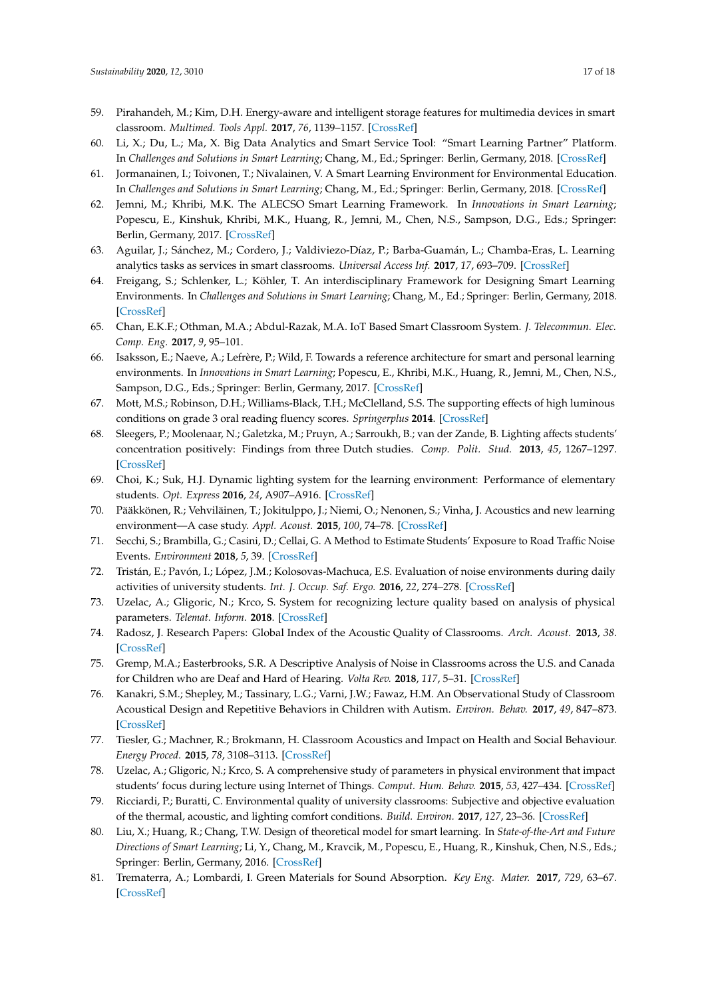- <span id="page-16-0"></span>59. Pirahandeh, M.; Kim, D.H. Energy-aware and intelligent storage features for multimedia devices in smart classroom. *Multimed. Tools Appl.* **2017**, *76*, 1139–1157. [\[CrossRef\]](http://dx.doi.org/10.1007/s11042-015-3019-1)
- <span id="page-16-1"></span>60. Li, X.; Du, L.; Ma, X. Big Data Analytics and Smart Service Tool: "Smart Learning Partner" Platform. In *Challenges and Solutions in Smart Learning*; Chang, M., Ed.; Springer: Berlin, Germany, 2018. [\[CrossRef\]](http://dx.doi.org/10.1007/978-981-10-8743-1_20)
- <span id="page-16-2"></span>61. Jormanainen, I.; Toivonen, T.; Nivalainen, V. A Smart Learning Environment for Environmental Education. In *Challenges and Solutions in Smart Learning*; Chang, M., Ed.; Springer: Berlin, Germany, 2018. [\[CrossRef\]](http://dx.doi.org/10.1007/978-981-10-8743-1_2)
- <span id="page-16-3"></span>62. Jemni, M.; Khribi, M.K. The ALECSO Smart Learning Framework. In *Innovations in Smart Learning*; Popescu, E., Kinshuk, Khribi, M.K., Huang, R., Jemni, M., Chen, N.S., Sampson, D.G., Eds.; Springer: Berlin, Germany, 2017. [\[CrossRef\]](http://dx.doi.org/10.1007/978-981-10-2419-1_14)
- <span id="page-16-4"></span>63. Aguilar, J.; Sánchez, M.; Cordero, J.; Valdiviezo-Díaz, P.; Barba-Guamán, L.; Chamba-Eras, L. Learning analytics tasks as services in smart classrooms. *Universal Access Inf.* **2017**, *17*, 693–709. [\[CrossRef\]](http://dx.doi.org/10.1007/s10209-017-0525-0)
- <span id="page-16-5"></span>64. Freigang, S.; Schlenker, L.; Köhler, T. An interdisciplinary Framework for Designing Smart Learning Environments. In *Challenges and Solutions in Smart Learning*; Chang, M., Ed.; Springer: Berlin, Germany, 2018. [\[CrossRef\]](http://dx.doi.org/10.1007/978-981-10-8743-1_3)
- <span id="page-16-6"></span>65. Chan, E.K.F.; Othman, M.A.; Abdul-Razak, M.A. IoT Based Smart Classroom System. *J. Telecommun. Elec. Comp. Eng.* **2017**, *9*, 95–101.
- <span id="page-16-7"></span>66. Isaksson, E.; Naeve, A.; Lefrère, P.; Wild, F. Towards a reference architecture for smart and personal learning environments. In *Innovations in Smart Learning*; Popescu, E., Khribi, M.K., Huang, R., Jemni, M., Chen, N.S., Sampson, D.G., Eds.; Springer: Berlin, Germany, 2017. [\[CrossRef\]](http://dx.doi.org/10.1007/978-981-10-2419-1_13)
- <span id="page-16-8"></span>67. Mott, M.S.; Robinson, D.H.; Williams-Black, T.H.; McClelland, S.S. The supporting effects of high luminous conditions on grade 3 oral reading fluency scores. *Springerplus* **2014**. [\[CrossRef\]](http://dx.doi.org/10.1186/2193-1801-3-53)
- <span id="page-16-9"></span>68. Sleegers, P.; Moolenaar, N.; Galetzka, M.; Pruyn, A.; Sarroukh, B.; van der Zande, B. Lighting affects students' concentration positively: Findings from three Dutch studies. *Comp. Polit. Stud.* **2013**, *45*, 1267–1297. [\[CrossRef\]](http://dx.doi.org/10.1177/1477153512446099)
- <span id="page-16-10"></span>69. Choi, K.; Suk, H.J. Dynamic lighting system for the learning environment: Performance of elementary students. *Opt. Express* **2016**, *24*, A907–A916. [\[CrossRef\]](http://dx.doi.org/10.1364/OE.24.00A907)
- <span id="page-16-11"></span>70. Pääkkönen, R.; Vehviläinen, T.; Jokitulppo, J.; Niemi, O.; Nenonen, S.; Vinha, J. Acoustics and new learning environment—A case study. *Appl. Acoust.* **2015**, *100*, 74–78. [\[CrossRef\]](http://dx.doi.org/10.1016/j.apacoust.2015.07.001)
- <span id="page-16-12"></span>71. Secchi, S.; Brambilla, G.; Casini, D.; Cellai, G. A Method to Estimate Students' Exposure to Road Traffic Noise Events. *Environment* **2018**, *5*, 39. [\[CrossRef\]](http://dx.doi.org/10.3390/environments5030039)
- <span id="page-16-13"></span>72. Tristán, E.; Pavón, I.; López, J.M.; Kolosovas-Machuca, E.S. Evaluation of noise environments during daily activities of university students. *Int. J. Occup. Saf. Ergo.* **2016**, *22*, 274–278. [\[CrossRef\]](http://dx.doi.org/10.1080/10803548.2015.1096610)
- <span id="page-16-14"></span>73. Uzelac, A.; Gligoric, N.; Krco, S. System for recognizing lecture quality based on analysis of physical parameters. *Telemat. Inform.* **2018**. [\[CrossRef\]](http://dx.doi.org/10.1016/j.tele.2017.06.014)
- <span id="page-16-15"></span>74. Radosz, J. Research Papers: Global Index of the Acoustic Quality of Classrooms. *Arch. Acoust.* **2013**, *38*. [\[CrossRef\]](http://dx.doi.org/10.2478/aoa-2013-0018)
- <span id="page-16-16"></span>75. Gremp, M.A.; Easterbrooks, S.R. A Descriptive Analysis of Noise in Classrooms across the U.S. and Canada for Children who are Deaf and Hard of Hearing. *Volta Rev.* **2018**, *117*, 5–31. [\[CrossRef\]](http://dx.doi.org/10.17955/tvr.117.1.2.781)
- <span id="page-16-17"></span>76. Kanakri, S.M.; Shepley, M.; Tassinary, L.G.; Varni, J.W.; Fawaz, H.M. An Observational Study of Classroom Acoustical Design and Repetitive Behaviors in Children with Autism. *Environ. Behav.* **2017**, *49*, 847–873. [\[CrossRef\]](http://dx.doi.org/10.1177/0013916516669389)
- <span id="page-16-18"></span>77. Tiesler, G.; Machner, R.; Brokmann, H. Classroom Acoustics and Impact on Health and Social Behaviour. *Energy Proced.* **2015**, *78*, 3108–3113. [\[CrossRef\]](http://dx.doi.org/10.1016/j.egypro.2015.11.765)
- <span id="page-16-19"></span>78. Uzelac, A.; Gligoric, N.; Krco, S. A comprehensive study of parameters in physical environment that impact students' focus during lecture using Internet of Things. *Comput. Hum. Behav.* **2015**, *53*, 427–434. [\[CrossRef\]](http://dx.doi.org/10.1016/j.chb.2015.07.023)
- <span id="page-16-20"></span>79. Ricciardi, P.; Buratti, C. Environmental quality of university classrooms: Subjective and objective evaluation of the thermal, acoustic, and lighting comfort conditions. *Build. Environ.* **2017**, *127*, 23–36. [\[CrossRef\]](http://dx.doi.org/10.1016/j.buildenv.2017.10.030)
- <span id="page-16-21"></span>80. Liu, X.; Huang, R.; Chang, T.W. Design of theoretical model for smart learning. In *State-of-the-Art and Future Directions of Smart Learning*; Li, Y., Chang, M., Kravcik, M., Popescu, E., Huang, R., Kinshuk, Chen, N.S., Eds.; Springer: Berlin, Germany, 2016. [\[CrossRef\]](http://dx.doi.org/10.1007/978-981-287-868-7_9)
- <span id="page-16-22"></span>81. Trematerra, A.; Lombardi, I. Green Materials for Sound Absorption. *Key Eng. Mater.* **2017**, *729*, 63–67. [\[CrossRef\]](http://dx.doi.org/10.4028/www.scientific.net/KEM.729.63)